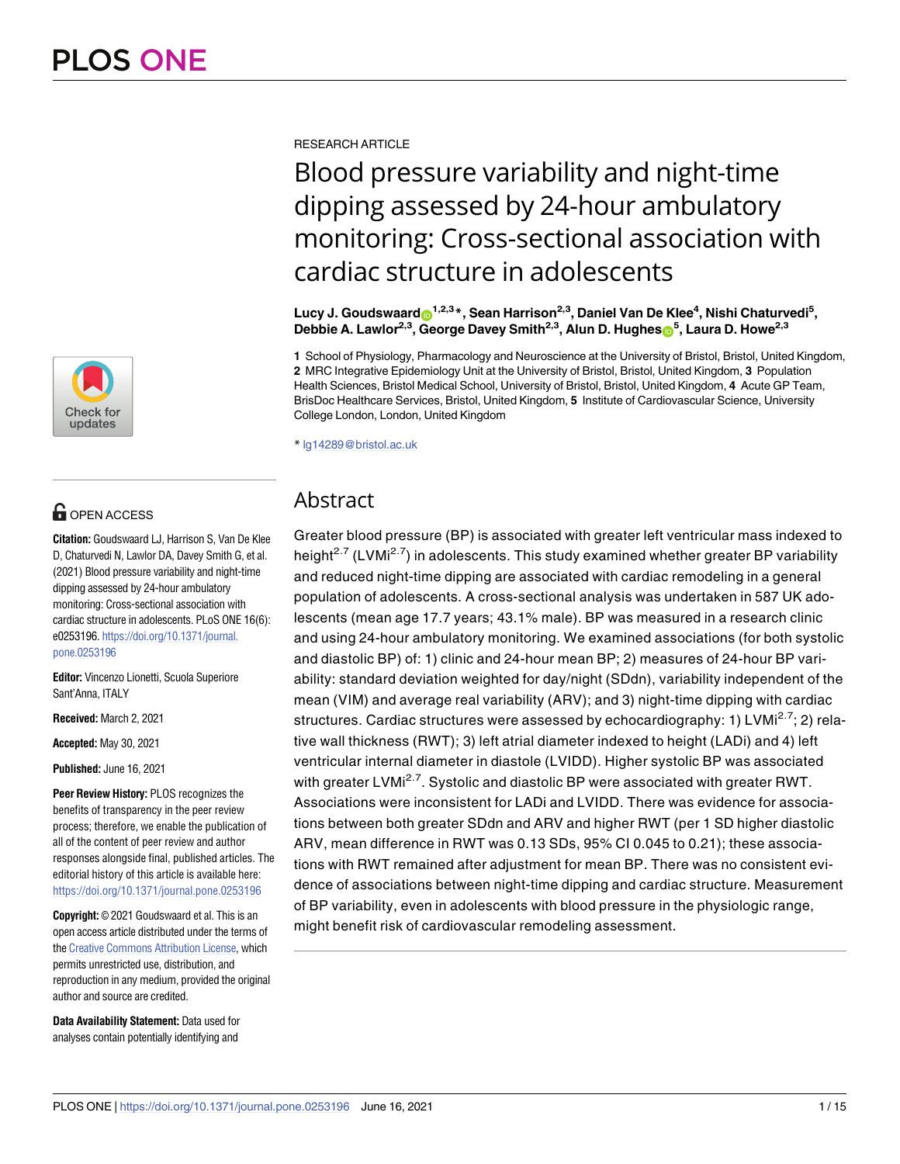

# **OPEN ACCESS**

**Citation:** Goudswaard LJ, Harrison S, Van De Klee D, Chaturvedi N, Lawlor DA, Davey Smith G, et al. (2021) Blood pressure variability and night-time dipping assessed by 24-hour ambulatory monitoring: Cross-sectional association with cardiac structure in adolescents. PLoS ONE 16(6): e0253196. [https://doi.org/10.1371/journal.](https://doi.org/10.1371/journal.pone.0253196) [pone.0253196](https://doi.org/10.1371/journal.pone.0253196)

**Editor:** Vincenzo Lionetti, Scuola Superiore Sant'Anna, ITALY

**Received:** March 2, 2021

**Accepted:** May 30, 2021

**Published:** June 16, 2021

**Peer Review History:** PLOS recognizes the benefits of transparency in the peer review process; therefore, we enable the publication of all of the content of peer review and author responses alongside final, published articles. The editorial history of this article is available here: <https://doi.org/10.1371/journal.pone.0253196>

**Copyright:** © 2021 Goudswaard et al. This is an open access article distributed under the terms of the Creative [Commons](http://creativecommons.org/licenses/by/4.0/) Attribution License, which permits unrestricted use, distribution, and reproduction in any medium, provided the original author and source are credited.

**Data Availability Statement:** Data used for analyses contain potentially identifying and

RESEARCH ARTICLE

# Blood pressure variability and night-time dipping assessed by 24-hour ambulatory monitoring: Cross-sectional association with cardiac structure in adolescents

 $\mathsf{Lucy\ J.}\mathsf{Goudswaard}$   $\mathsf{O}^{1,2,3}$   $^*$  , Sean Harrison<sup>2,3</sup> , Daniel Van De Klee<sup>4</sup> , Nishi Chaturvedi<sup>5</sup> ,  $D$ ebbie A. Lawlor<sup>2,3</sup>, George Davey Smith<sup>2,3</sup>, Alun D. Hughes $\mathbf{D}^5$ , Laura D. Howe<sup>2,3</sup>

**1** School of Physiology, Pharmacology and Neuroscience at the University of Bristol, Bristol, United Kingdom, **2** MRC Integrative Epidemiology Unit at the University of Bristol, Bristol, United Kingdom, **3** Population Health Sciences, Bristol Medical School, University of Bristol, Bristol, United Kingdom, **4** Acute GP Team, BrisDoc Healthcare Services, Bristol, United Kingdom, **5** Institute of Cardiovascular Science, University College London, London, United Kingdom

\* lg14289@bristol.ac.uk

# Abstract

Greater blood pressure (BP) is associated with greater left ventricular mass indexed to height<sup>2.7</sup> (LVMi<sup>2.7</sup>) in adolescents. This study examined whether greater BP variability and reduced night-time dipping are associated with cardiac remodeling in a general population of adolescents. A cross-sectional analysis was undertaken in 587 UK adolescents (mean age 17.7 years; 43.1% male). BP was measured in a research clinic and using 24-hour ambulatory monitoring. We examined associations (for both systolic and diastolic BP) of: 1) clinic and 24-hour mean BP; 2) measures of 24-hour BP variability: standard deviation weighted for day/night (SDdn), variability independent of the mean (VIM) and average real variability (ARV); and 3) night-time dipping with cardiac structures. Cardiac structures were assessed by echocardiography: 1) LVMi<sup>2.7</sup>; 2) relative wall thickness (RWT); 3) left atrial diameter indexed to height (LADi) and 4) left ventricular internal diameter in diastole (LVIDD). Higher systolic BP was associated with greater LVMi<sup>2.7</sup>. Systolic and diastolic BP were associated with greater RWT. Associations were inconsistent for LADi and LVIDD. There was evidence for associations between both greater SDdn and ARV and higher RWT (per 1 SD higher diastolic ARV, mean difference in RWT was 0.13 SDs, 95% CI 0.045 to 0.21); these associations with RWT remained after adjustment for mean BP. There was no consistent evidence of associations between night-time dipping and cardiac structure. Measurement of BP variability, even in adolescents with blood pressure in the physiologic range, might benefit risk of cardiovascular remodeling assessment.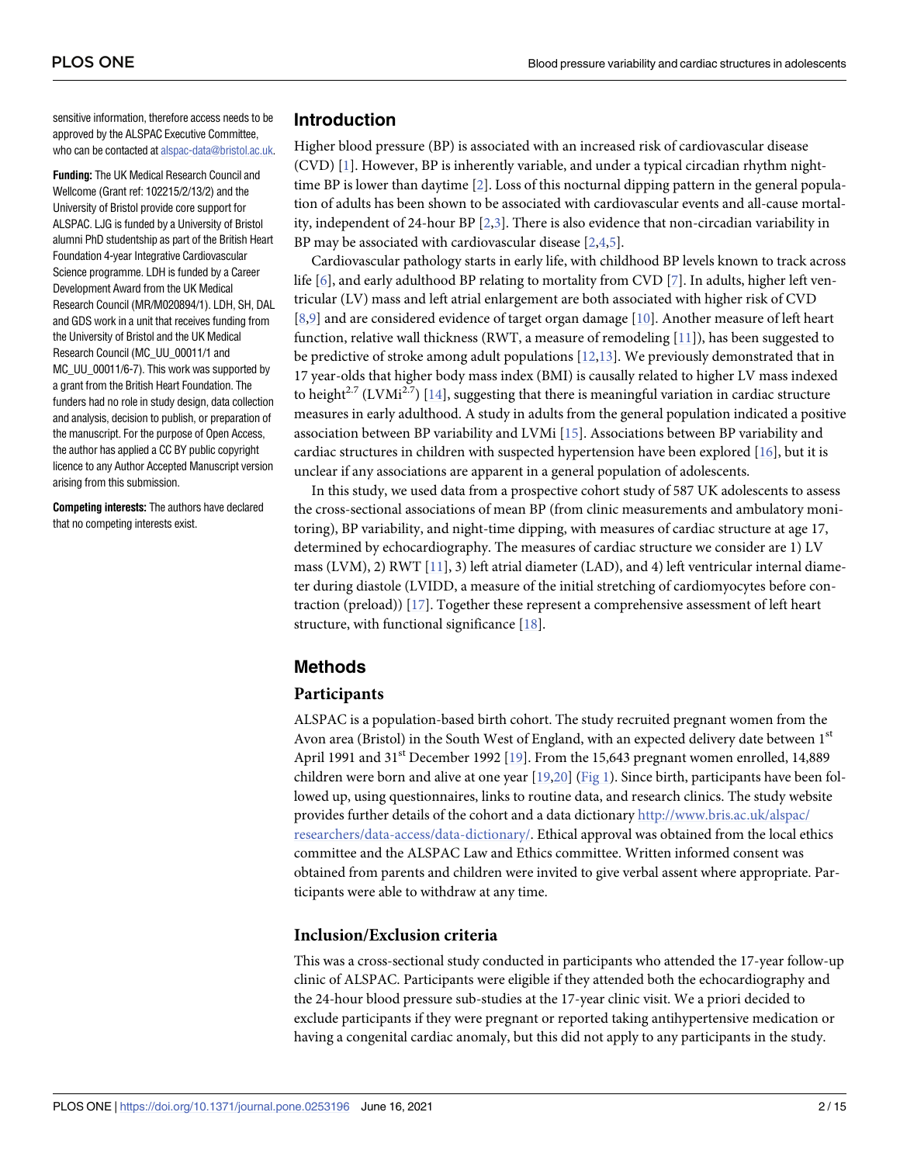<span id="page-1-0"></span>sensitive information, therefore access needs to be approved by the ALSPAC Executive Committee, who can be contacted at [alspac-data@bristol.ac.uk.](mailto:alspac-data@bristol.ac.uk)

**Funding:** The UK Medical Research Council and Wellcome (Grant ref: 102215/2/13/2) and the University of Bristol provide core support for ALSPAC. LJG is funded by a University of Bristol alumni PhD studentship as part of the British Heart Foundation 4-year Integrative Cardiovascular Science programme. LDH is funded by a Career Development Award from the UK Medical Research Council (MR/M020894/1). LDH, SH, DAL and GDS work in a unit that receives funding from the University of Bristol and the UK Medical Research Council (MC\_UU\_00011/1 and MC\_UU\_00011/6-7). This work was supported by a grant from the British Heart Foundation. The funders had no role in study design, data collection and analysis, decision to publish, or preparation of the manuscript. For the purpose of Open Access, the author has applied a CC BY public copyright licence to any Author Accepted Manuscript version arising from this submission.

**Competing interests:** The authors have declared that no competing interests exist.

# **Introduction**

Higher blood pressure (BP) is associated with an increased risk of cardiovascular disease (CVD) [\[1](#page-12-0)]. However, BP is inherently variable, and under a typical circadian rhythm nighttime BP is lower than daytime [\[2](#page-12-0)]. Loss of this nocturnal dipping pattern in the general population of adults has been shown to be associated with cardiovascular events and all-cause mortality, independent of 24-hour BP [\[2,3\]](#page-12-0). There is also evidence that non-circadian variability in BP may be associated with cardiovascular disease  $[2,4,5]$  $[2,4,5]$  $[2,4,5]$  $[2,4,5]$  $[2,4,5]$  $[2,4,5]$  $[2,4,5]$ .

Cardiovascular pathology starts in early life, with childhood BP levels known to track across life [[6\]](#page-12-0), and early adulthood BP relating to mortality from CVD [[7\]](#page-12-0). In adults, higher left ventricular (LV) mass and left atrial enlargement are both associated with higher risk of CVD [\[8,9](#page-12-0)] and are considered evidence of target organ damage [\[10\]](#page-12-0). Another measure of left heart function, relative wall thickness (RWT, a measure of remodeling  $[11]$ ), has been suggested to be predictive of stroke among adult populations  $[12,13]$  $[12,13]$  $[12,13]$  $[12,13]$  $[12,13]$ . We previously demonstrated that in 17 year-olds that higher body mass index (BMI) is causally related to higher LV mass indexed to height<sup>2.7</sup> (LVMi<sup>2.7</sup>) [\[14\]](#page-12-0), suggesting that there is meaningful variation in cardiac structure measures in early adulthood. A study in adults from the general population indicated a positive association between BP variability and LVMi [\[15\]](#page-12-0). Associations between BP variability and cardiac structures in children with suspected hypertension have been explored [[16](#page-12-0)], but it is unclear if any associations are apparent in a general population of adolescents.

In this study, we used data from a prospective cohort study of 587 UK adolescents to assess the cross-sectional associations of mean BP (from clinic measurements and ambulatory monitoring), BP variability, and night-time dipping, with measures of cardiac structure at age 17, determined by echocardiography. The measures of cardiac structure we consider are 1) LV mass (LVM), 2) RWT [\[11\]](#page-12-0), 3) left atrial diameter (LAD), and 4) left ventricular internal diameter during diastole (LVIDD, a measure of the initial stretching of cardiomyocytes before contraction (preload)) [[17](#page-12-0)]. Together these represent a comprehensive assessment of left heart structure, with functional significance [\[18\]](#page-12-0).

# **Methods**

#### **Participants**

ALSPAC is a population-based birth cohort. The study recruited pregnant women from the Avon area (Bristol) in the South West of England, with an expected delivery date between  $1<sup>st</sup>$ April 1991 and 31<sup>st</sup> December 1992 [\[19\]](#page-13-0). From the 15,643 pregnant women enrolled, 14,889 children were born and alive at one year [\[19,20](#page-13-0)] [\(Fig](#page-2-0) 1). Since birth, participants have been followed up, using questionnaires, links to routine data, and research clinics. The study website provides further details of the cohort and a data dictionary [http://www.bris.ac.uk/alspac/](http://www.bris.ac.uk/alspac/researchers/data-access/data-dictionary/) [researchers/data-access/data-dictionary/.](http://www.bris.ac.uk/alspac/researchers/data-access/data-dictionary/) Ethical approval was obtained from the local ethics committee and the ALSPAC Law and Ethics committee. Written informed consent was obtained from parents and children were invited to give verbal assent where appropriate. Participants were able to withdraw at any time.

# **Inclusion/Exclusion criteria**

This was a cross-sectional study conducted in participants who attended the 17-year follow-up clinic of ALSPAC. Participants were eligible if they attended both the echocardiography and the 24-hour blood pressure sub-studies at the 17-year clinic visit. We a priori decided to exclude participants if they were pregnant or reported taking antihypertensive medication or having a congenital cardiac anomaly, but this did not apply to any participants in the study.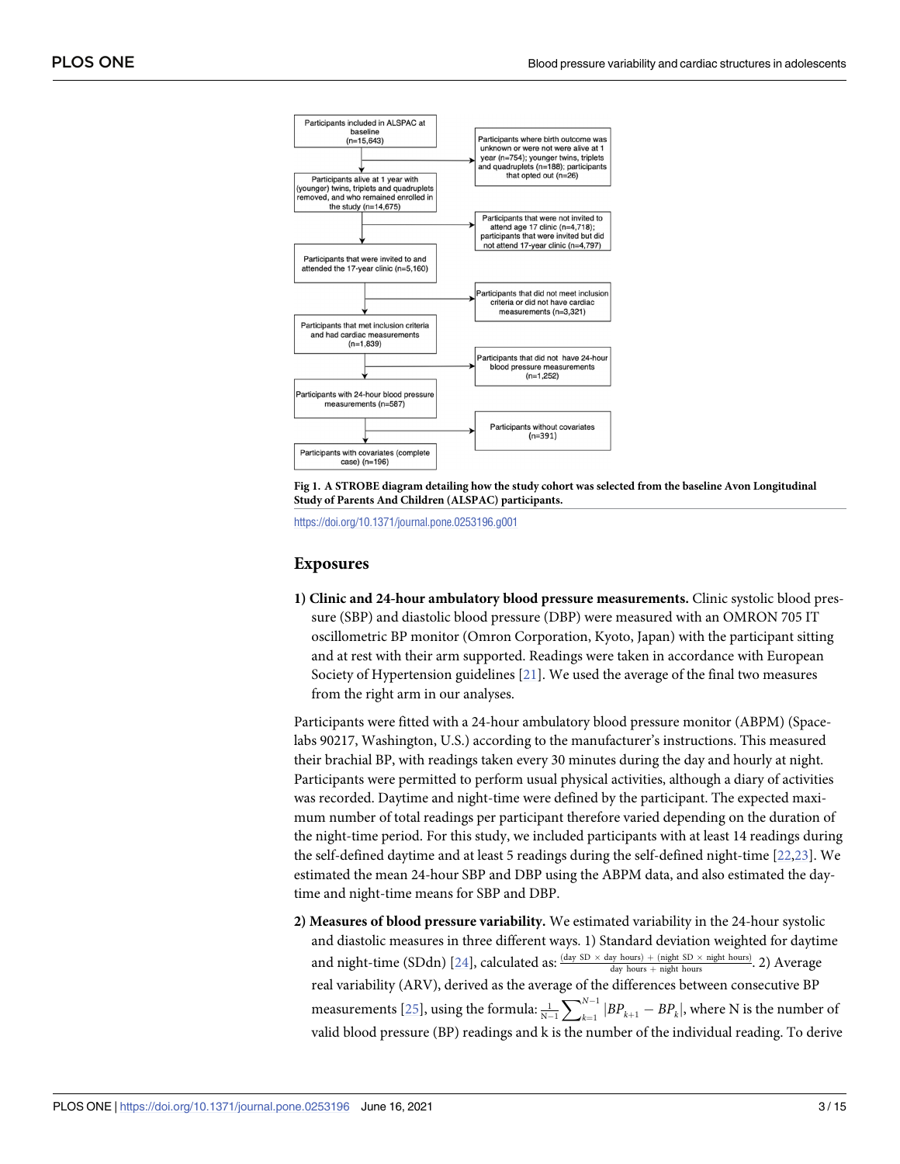<span id="page-2-0"></span>

**[Fig](#page-1-0) 1. A STROBE diagram detailing how the study cohort was selected from the baseline Avon Longitudinal Study of Parents And Children (ALSPAC) participants.**

<https://doi.org/10.1371/journal.pone.0253196.g001>

#### **Exposures**

**1) Clinic and 24-hour ambulatory blood pressure measurements.** Clinic systolic blood pressure (SBP) and diastolic blood pressure (DBP) were measured with an OMRON 705 IT oscillometric BP monitor (Omron Corporation, Kyoto, Japan) with the participant sitting and at rest with their arm supported. Readings were taken in accordance with European Society of Hypertension guidelines [\[21\]](#page-13-0). We used the average of the final two measures from the right arm in our analyses.

Participants were fitted with a 24-hour ambulatory blood pressure monitor (ABPM) (Spacelabs 90217, Washington, U.S.) according to the manufacturer's instructions. This measured their brachial BP, with readings taken every 30 minutes during the day and hourly at night. Participants were permitted to perform usual physical activities, although a diary of activities was recorded. Daytime and night-time were defined by the participant. The expected maximum number of total readings per participant therefore varied depending on the duration of the night-time period. For this study, we included participants with at least 14 readings during the self-defined daytime and at least 5 readings during the self-defined night-time [\[22,23](#page-13-0)]. We estimated the mean 24-hour SBP and DBP using the ABPM data, and also estimated the daytime and night-time means for SBP and DBP.

**2) Measures of blood pressure variability.** We estimated variability in the 24-hour systolic and diastolic measures in three different ways. 1) Standard deviation weighted for daytime and night-time (SDdn) [\[24\]](#page-13-0), calculated as:  $\frac{\text{(day SD} \times \text{day hours}) + \text{(night box S)}}{\text{day hours} + \text{night hours}}$ . 2) Average real variability (ARV), derived as the average of the differences between consecutive BP measurements [[25](#page-13-0)], using the formula:  $\frac{1}{N-1}$  $\sum_{N-1}^{N}$  $\sum_{k=1}^{N-1} |BP_{k+1} - BP_k|$ , where N is the number of valid blood pressure (BP) readings and k is the number of the individual reading. To derive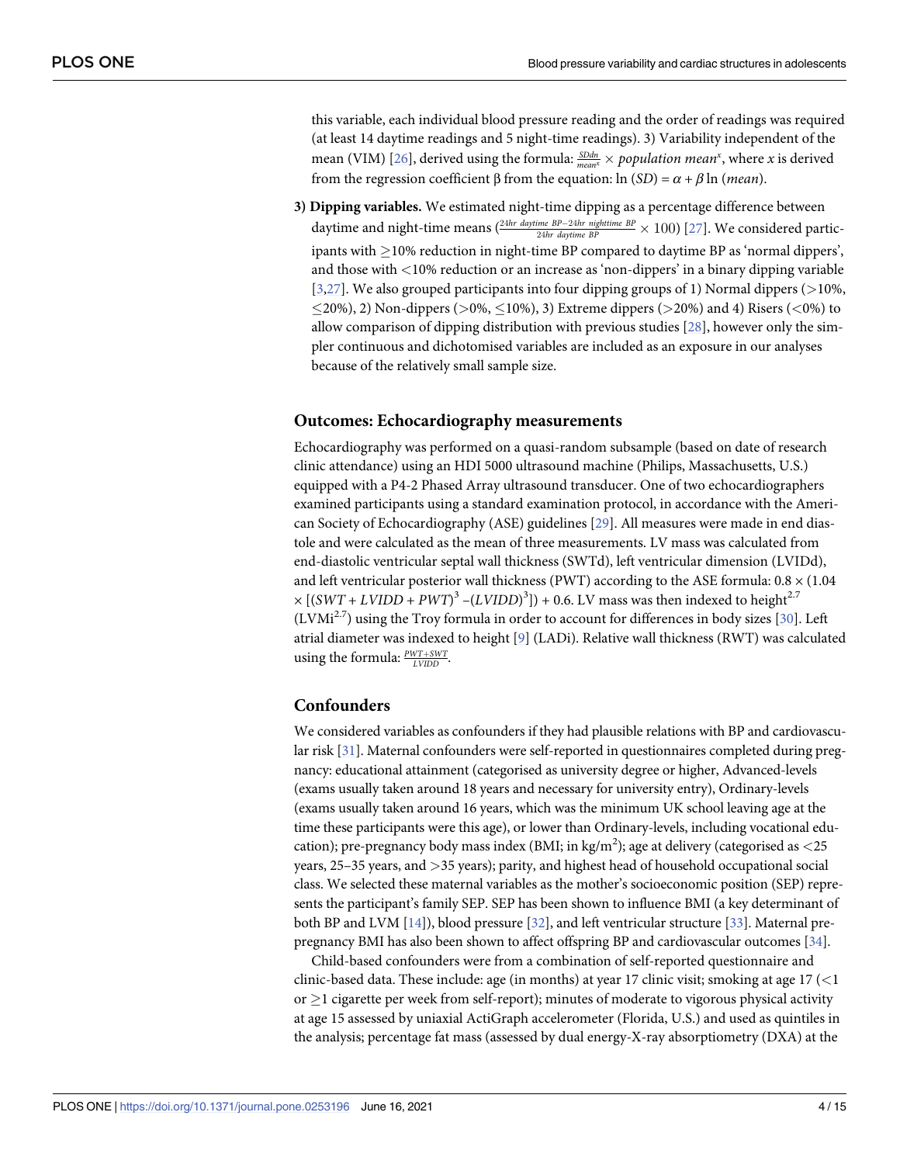<span id="page-3-0"></span>this variable, each individual blood pressure reading and the order of readings was required (at least 14 daytime readings and 5 night-time readings). 3) Variability independent of the mean (VIM) [\[26\]](#page-13-0), derived using the formula:  $\frac{SDdn}{mean^x} \times population$  *mean*\*, where *x* is derived from the regression coefficient β from the equation: ln (*SD*) = *α* + *β* ln (*mean*).

**3) Dipping variables.** We estimated night-time dipping as a percentage difference between daytime and night-time means  $\frac{2^{4hr\,\,daytime\,\,BP-24hr\,\,night}}{24hr\,\,daytime\,\,BP}} \times 100)$  [[27](#page-13-0)]. We considered participants with  $\geq$ 10% reduction in night-time BP compared to daytime BP as 'normal dippers', and those with *<*10% reduction or an increase as 'non-dippers' in a binary dipping variable [\[3](#page-12-0)[,27\]](#page-13-0). We also grouped participants into four dipping groups of 1) Normal dippers (*>*10%, �20%), 2) Non-dippers (*>*0%, �10%), 3) Extreme dippers (*>*20%) and 4) Risers (*<*0%) to allow comparison of dipping distribution with previous studies [\[28\]](#page-13-0), however only the simpler continuous and dichotomised variables are included as an exposure in our analyses because of the relatively small sample size.

#### **Outcomes: Echocardiography measurements**

Echocardiography was performed on a quasi-random subsample (based on date of research clinic attendance) using an HDI 5000 ultrasound machine (Philips, Massachusetts, U.S.) equipped with a P4-2 Phased Array ultrasound transducer. One of two echocardiographers examined participants using a standard examination protocol, in accordance with the American Society of Echocardiography (ASE) guidelines [\[29\]](#page-13-0). All measures were made in end diastole and were calculated as the mean of three measurements. LV mass was calculated from end-diastolic ventricular septal wall thickness (SWTd), left ventricular dimension (LVIDd), and left ventricular posterior wall thickness (PWT) according to the ASE formula:  $0.8 \times (1.04)$  $\times [(SWT + LVIDD + PWT)^3 - (LVIDD)^3]) + 0.6$ . LV mass was then indexed to height<sup>2.7</sup>  $(LVMi^{2.7})$  using the Troy formula in order to account for differences in body sizes [[30](#page-13-0)]. Left atrial diameter was indexed to height [[9](#page-12-0)] (LADi). Relative wall thickness (RWT) was calculated using the formula:  $\frac{PWT + SWT}{LVIDD}$ .

#### **Confounders**

We considered variables as confounders if they had plausible relations with BP and cardiovascular risk [[31\]](#page-13-0). Maternal confounders were self-reported in questionnaires completed during pregnancy: educational attainment (categorised as university degree or higher, Advanced-levels (exams usually taken around 18 years and necessary for university entry), Ordinary-levels (exams usually taken around 16 years, which was the minimum UK school leaving age at the time these participants were this age), or lower than Ordinary-levels, including vocational education); pre-pregnancy body mass index (BMI; in kg/m2 ); age at delivery (categorised as *<*25 years, 25–35 years, and *>*35 years); parity, and highest head of household occupational social class. We selected these maternal variables as the mother's socioeconomic position (SEP) represents the participant's family SEP. SEP has been shown to influence BMI (a key determinant of both BP and LVM [[14\]](#page-12-0)), blood pressure [[32\]](#page-13-0), and left ventricular structure [[33\]](#page-13-0). Maternal prepregnancy BMI has also been shown to affect offspring BP and cardiovascular outcomes [\[34\]](#page-13-0).

Child-based confounders were from a combination of self-reported questionnaire and clinic-based data. These include: age (in months) at year 17 clinic visit; smoking at age 17 (*<*1 or  $\geq$  1 cigarette per week from self-report); minutes of moderate to vigorous physical activity at age 15 assessed by uniaxial ActiGraph accelerometer (Florida, U.S.) and used as quintiles in the analysis; percentage fat mass (assessed by dual energy-X-ray absorptiometry (DXA) at the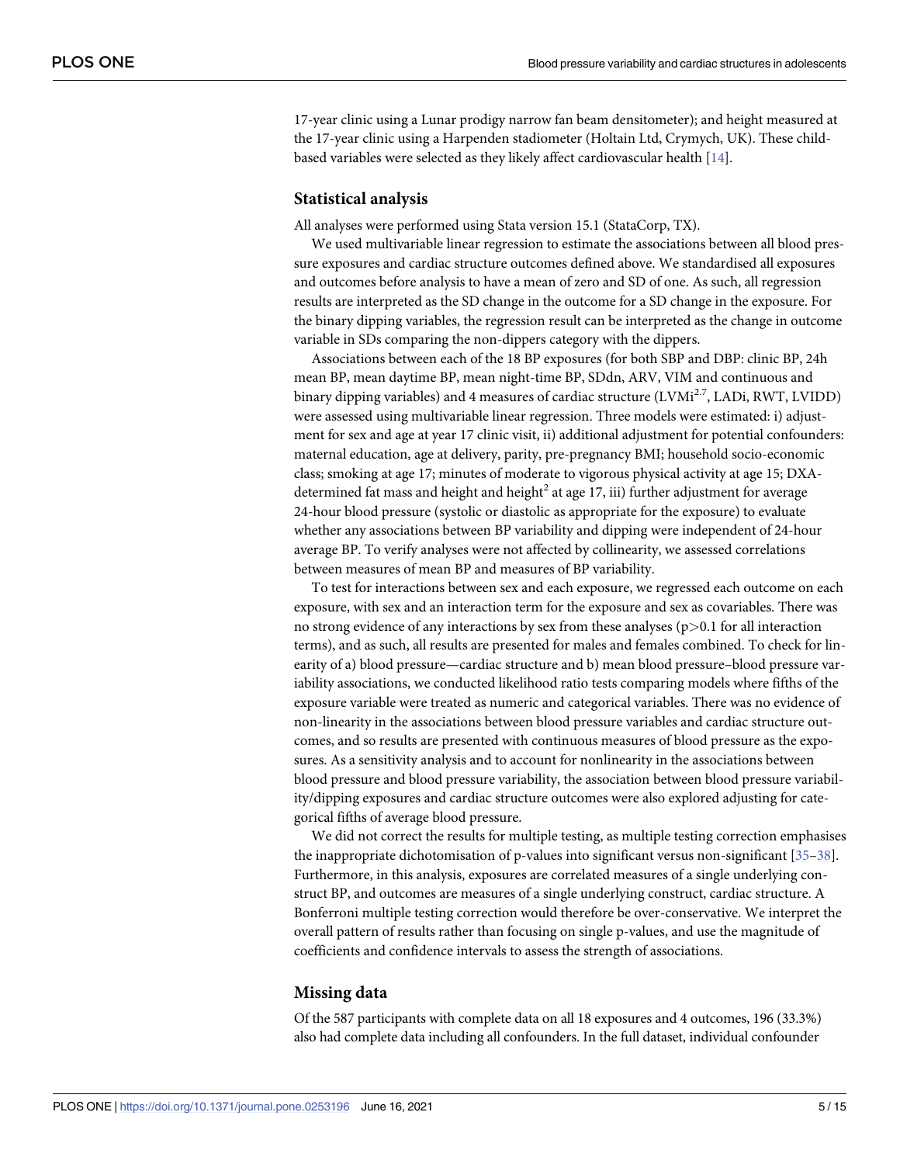<span id="page-4-0"></span>17-year clinic using a Lunar prodigy narrow fan beam densitometer); and height measured at the 17-year clinic using a Harpenden stadiometer (Holtain Ltd, Crymych, UK). These childbased variables were selected as they likely affect cardiovascular health [[14](#page-12-0)].

#### **Statistical analysis**

All analyses were performed using Stata version 15.1 (StataCorp, TX).

We used multivariable linear regression to estimate the associations between all blood pressure exposures and cardiac structure outcomes defined above. We standardised all exposures and outcomes before analysis to have a mean of zero and SD of one. As such, all regression results are interpreted as the SD change in the outcome for a SD change in the exposure. For the binary dipping variables, the regression result can be interpreted as the change in outcome variable in SDs comparing the non-dippers category with the dippers.

Associations between each of the 18 BP exposures (for both SBP and DBP: clinic BP, 24h mean BP, mean daytime BP, mean night-time BP, SDdn, ARV, VIM and continuous and binary dipping variables) and 4 measures of cardiac structure  $(LVMi<sup>2.7</sup>, LADi, RWT, LVIDD)$ were assessed using multivariable linear regression. Three models were estimated: i) adjustment for sex and age at year 17 clinic visit, ii) additional adjustment for potential confounders: maternal education, age at delivery, parity, pre-pregnancy BMI; household socio-economic class; smoking at age 17; minutes of moderate to vigorous physical activity at age 15; DXAdetermined fat mass and height and height<sup>2</sup> at age 17, iii) further adjustment for average 24-hour blood pressure (systolic or diastolic as appropriate for the exposure) to evaluate whether any associations between BP variability and dipping were independent of 24-hour average BP. To verify analyses were not affected by collinearity, we assessed correlations between measures of mean BP and measures of BP variability.

To test for interactions between sex and each exposure, we regressed each outcome on each exposure, with sex and an interaction term for the exposure and sex as covariables. There was no strong evidence of any interactions by sex from these analyses (p*>*0.1 for all interaction terms), and as such, all results are presented for males and females combined. To check for linearity of a) blood pressure—cardiac structure and b) mean blood pressure–blood pressure variability associations, we conducted likelihood ratio tests comparing models where fifths of the exposure variable were treated as numeric and categorical variables. There was no evidence of non-linearity in the associations between blood pressure variables and cardiac structure outcomes, and so results are presented with continuous measures of blood pressure as the exposures. As a sensitivity analysis and to account for nonlinearity in the associations between blood pressure and blood pressure variability, the association between blood pressure variability/dipping exposures and cardiac structure outcomes were also explored adjusting for categorical fifths of average blood pressure.

We did not correct the results for multiple testing, as multiple testing correction emphasises the inappropriate dichotomisation of p-values into significant versus non-significant [\[35–](#page-13-0)[38](#page-14-0)]. Furthermore, in this analysis, exposures are correlated measures of a single underlying construct BP, and outcomes are measures of a single underlying construct, cardiac structure. A Bonferroni multiple testing correction would therefore be over-conservative. We interpret the overall pattern of results rather than focusing on single p-values, and use the magnitude of coefficients and confidence intervals to assess the strength of associations.

#### **Missing data**

Of the 587 participants with complete data on all 18 exposures and 4 outcomes, 196 (33.3%) also had complete data including all confounders. In the full dataset, individual confounder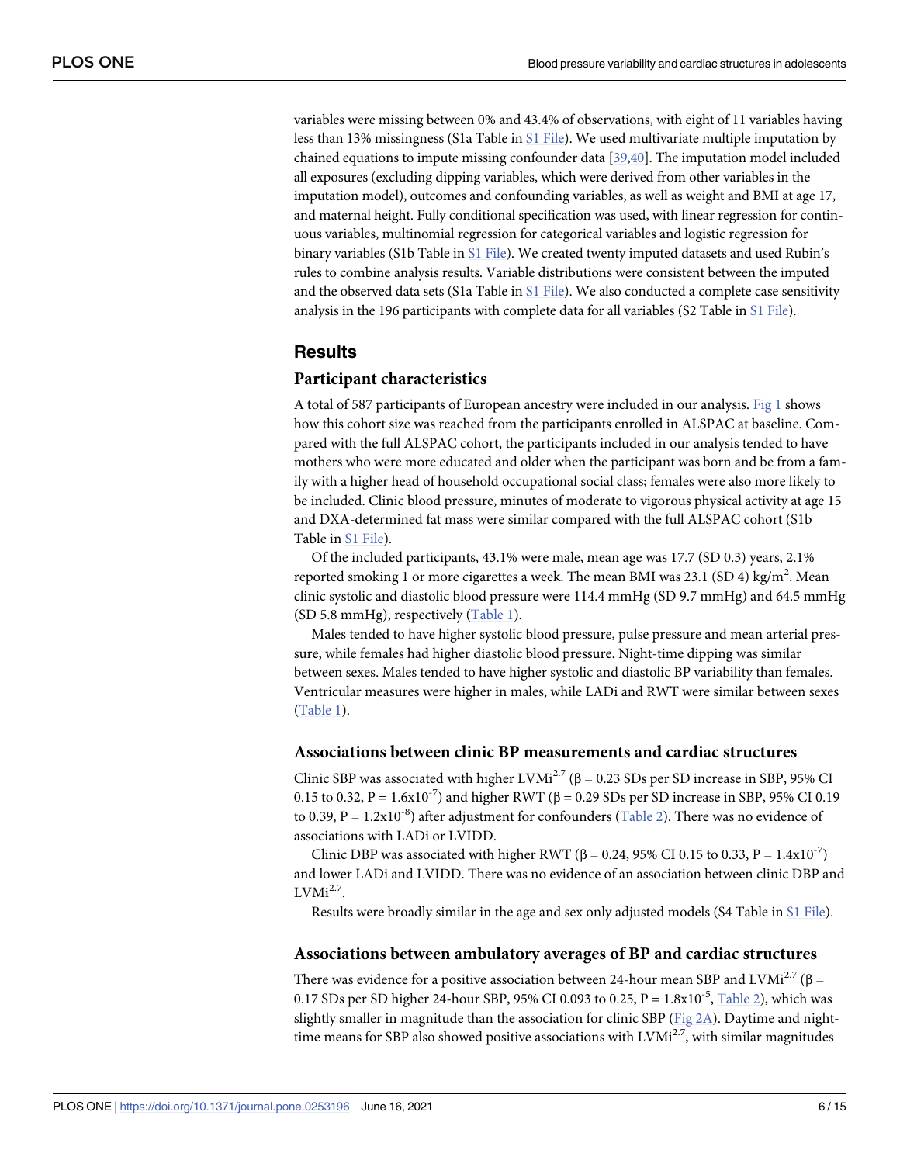<span id="page-5-0"></span>variables were missing between 0% and 43.4% of observations, with eight of 11 variables having less than 13% missingness (S1a Table in S1 [File\)](#page-11-0). We used multivariate multiple imputation by chained equations to impute missing confounder data [\[39,40](#page-14-0)]. The imputation model included all exposures (excluding dipping variables, which were derived from other variables in the imputation model), outcomes and confounding variables, as well as weight and BMI at age 17, and maternal height. Fully conditional specification was used, with linear regression for continuous variables, multinomial regression for categorical variables and logistic regression for binary variables (S1b Table in S1 [File\)](#page-11-0). We created twenty imputed datasets and used Rubin's rules to combine analysis results. Variable distributions were consistent between the imputed and the observed data sets (S1a Table in S1 [File\)](#page-11-0). We also conducted a complete case sensitivity analysis in the 196 participants with complete data for all variables (S2 Table in S1 [File\)](#page-11-0).

## **Results**

#### **Participant characteristics**

A total of 587 participants of European ancestry were included in our analysis. [Fig](#page-2-0) 1 shows how this cohort size was reached from the participants enrolled in ALSPAC at baseline. Compared with the full ALSPAC cohort, the participants included in our analysis tended to have mothers who were more educated and older when the participant was born and be from a family with a higher head of household occupational social class; females were also more likely to be included. Clinic blood pressure, minutes of moderate to vigorous physical activity at age 15 and DXA-determined fat mass were similar compared with the full ALSPAC cohort (S1b Table in S1 [File](#page-11-0)).

Of the included participants, 43.1% were male, mean age was 17.7 (SD 0.3) years, 2.1% reported smoking 1 or more cigarettes a week. The mean BMI was 23.1 (SD 4) kg/m<sup>2</sup>. Mean clinic systolic and diastolic blood pressure were 114.4 mmHg (SD 9.7 mmHg) and 64.5 mmHg (SD 5.8 mmHg), respectively [\(Table](#page-6-0) 1).

Males tended to have higher systolic blood pressure, pulse pressure and mean arterial pressure, while females had higher diastolic blood pressure. Night-time dipping was similar between sexes. Males tended to have higher systolic and diastolic BP variability than females. Ventricular measures were higher in males, while LADi and RWT were similar between sexes [\(Table](#page-6-0) 1).

#### **Associations between clinic BP measurements and cardiac structures**

Clinic SBP was associated with higher LVMi<sup>2.7</sup> ( $\beta$  = 0.23 SDs per SD increase in SBP, 95% CI 0.15 to 0.32, P =  $1.6x10^{-7}$ ) and higher RWT ( $\beta$  = 0.29 SDs per SD increase in SBP, 95% CI 0.19 to 0.39, P =  $1.2x10^{-8}$ ) after adjustment for confounders [\(Table](#page-7-0) 2). There was no evidence of associations with LADi or LVIDD.

Clinic DBP was associated with higher RWT (β = 0.24, 95% CI 0.15 to 0.33, P = 1.4x10<sup>-7</sup>) and lower LADi and LVIDD. There was no evidence of an association between clinic DBP and  $LVMi<sup>2.7</sup>$ .

Results were broadly similar in the age and sex only adjusted models (S4 Table in S1 [File\)](#page-11-0).

#### **Associations between ambulatory averages of BP and cardiac structures**

There was evidence for a positive association between 24-hour mean SBP and LVMi<sup>2.7</sup> ( $\beta$  = 0.17 SDs per SD higher 24-hour SBP, 95% CI 0.093 to 0.25,  $P = 1.8x10^{-5}$ , [Table](#page-7-0) 2), which was slightly smaller in magnitude than the association for clinic SBP ([Fig](#page-8-0) 2A). Daytime and nighttime means for SBP also showed positive associations with  $LVMi^{2.7}$ , with similar magnitudes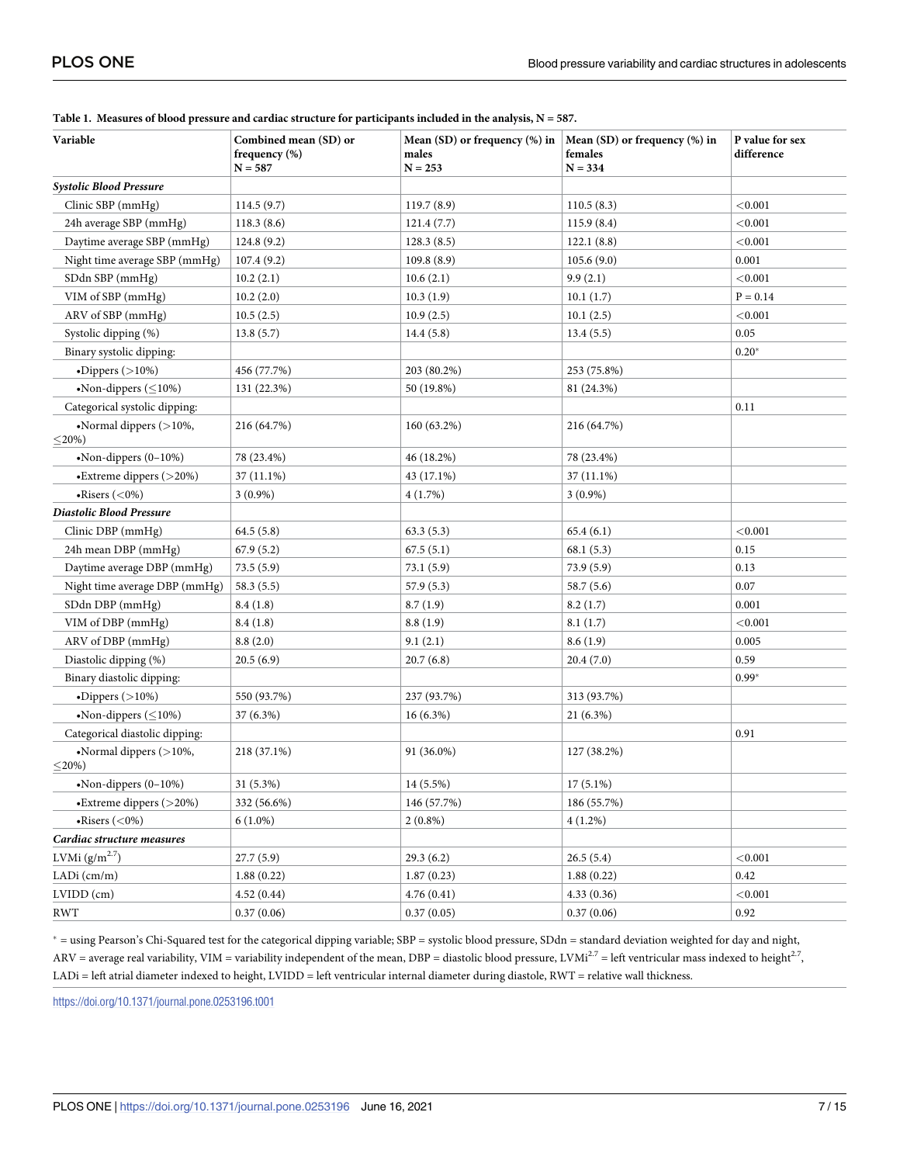| Variable                                       | Combined mean (SD) or<br>frequency (%)<br>$N = 587$ | Mean (SD) or frequency (%) in<br>males<br>$N = 253$ | Mean (SD) or frequency (%) in<br>females<br>$N = 334$ | P value for sex<br>difference |
|------------------------------------------------|-----------------------------------------------------|-----------------------------------------------------|-------------------------------------------------------|-------------------------------|
| <b>Systolic Blood Pressure</b>                 |                                                     |                                                     |                                                       |                               |
| Clinic SBP (mmHg)                              | 114.5(9.7)                                          | 119.7(8.9)                                          | 110.5(8.3)                                            | < 0.001                       |
| 24h average SBP (mmHg)                         | 118.3(8.6)                                          | 121.4(7.7)                                          | 115.9(8.4)                                            | < 0.001                       |
| Daytime average SBP (mmHg)                     | 124.8(9.2)                                          | 128.3(8.5)                                          | 122.1(8.8)                                            | < 0.001                       |
| Night time average SBP (mmHg)                  | 107.4(9.2)                                          | 109.8(8.9)                                          | 105.6(9.0)                                            | 0.001                         |
| SDdn SBP (mmHg)                                | 10.2(2.1)                                           | 10.6(2.1)                                           | 9.9(2.1)                                              | < 0.001                       |
| VIM of SBP (mmHg)                              | 10.2(2.0)                                           | 10.3(1.9)                                           | 10.1(1.7)                                             | $P = 0.14$                    |
| ARV of SBP (mmHg)                              | 10.5(2.5)                                           | 10.9(2.5)                                           | 10.1(2.5)                                             | < 0.001                       |
| Systolic dipping (%)                           | 13.8(5.7)                                           | 14.4(5.8)                                           | 13.4(5.5)                                             | 0.05                          |
| Binary systolic dipping:                       |                                                     |                                                     |                                                       | $0.20*$                       |
| $\bullet$ Dippers (>10%)                       | 456 (77.7%)                                         | 203 (80.2%)                                         | 253 (75.8%)                                           |                               |
| •Non-dippers $(\leq 10\%)$                     | 131 (22.3%)                                         | 50 (19.8%)                                          | 81 (24.3%)                                            |                               |
| Categorical systolic dipping:                  |                                                     |                                                     |                                                       | 0.11                          |
| $\bullet$ Normal dippers (>10%,<br>$\leq$ 20%) | 216 (64.7%)                                         | 160 (63.2%)                                         | 216 (64.7%)                                           |                               |
| $\bullet$ Non-dippers (0-10%)                  | 78 (23.4%)                                          | 46 (18.2%)                                          | 78 (23.4%)                                            |                               |
| •Extreme dippers (>20%)                        | 37 (11.1%)                                          | 43 (17.1%)                                          | 37 (11.1%)                                            |                               |
| $\bullet$ Risers (<0%)                         | $3(0.9\%)$                                          | 4(1.7%)                                             | $3(0.9\%)$                                            |                               |
| Diastolic Blood Pressure                       |                                                     |                                                     |                                                       |                               |
| Clinic DBP (mmHg)                              | 64.5 (5.8)                                          | 63.3(5.3)                                           | 65.4(6.1)                                             | < 0.001                       |
| 24h mean DBP (mmHg)                            | 67.9(5.2)                                           | 67.5(5.1)                                           | 68.1(5.3)                                             | 0.15                          |
| Daytime average DBP (mmHg)                     | 73.5(5.9)                                           | 73.1(5.9)                                           | 73.9(5.9)                                             | 0.13                          |
| Night time average DBP (mmHg)                  | 58.3(5.5)                                           | 57.9 (5.3)                                          | 58.7 (5.6)                                            | 0.07                          |
| SDdn DBP (mmHg)                                | 8.4(1.8)                                            | 8.7(1.9)                                            | 8.2(1.7)                                              | 0.001                         |
| VIM of DBP (mmHg)                              | 8.4(1.8)                                            | 8.8(1.9)                                            | 8.1(1.7)                                              | < 0.001                       |
| ARV of DBP (mmHg)                              | 8.8(2.0)                                            | 9.1(2.1)                                            | 8.6(1.9)                                              | 0.005                         |
| Diastolic dipping (%)                          | 20.5(6.9)                                           | 20.7(6.8)                                           | 20.4(7.0)                                             | 0.59                          |
| Binary diastolic dipping:                      |                                                     |                                                     |                                                       | $0.99*$                       |
| $\bullet$ Dippers (>10%)                       | 550 (93.7%)                                         | 237 (93.7%)                                         | 313 (93.7%)                                           |                               |
| •Non-dippers $(\leq 10\%)$                     | 37 (6.3%)                                           | $16(6.3\%)$                                         | 21 (6.3%)                                             |                               |
| Categorical diastolic dipping:                 |                                                     |                                                     |                                                       | 0.91                          |
| •Normal dippers $($ >10%,<br>$\leq$ 20%)       | 218 (37.1%)                                         | 91 (36.0%)                                          | 127 (38.2%)                                           |                               |
| •Non-dippers $(0-10%)$                         | 31 (5.3%)                                           | 14 (5.5%)                                           | $17(5.1\%)$                                           |                               |
| •Extreme dippers (>20%)                        | 332 (56.6%)                                         | 146 (57.7%)                                         | 186 (55.7%)                                           |                               |
| $\bullet$ Risers (<0%)                         | $6(1.0\%)$                                          | $2(0.8\%)$                                          | $4(1.2\%)$                                            |                               |
| Cardiac structure measures                     |                                                     |                                                     |                                                       |                               |
| LVMi $(g/m^{2.7})$                             | 27.7 (5.9)                                          | 29.3 (6.2)                                          | 26.5(5.4)                                             | < 0.001                       |
| LADi $(cm/m)$                                  | 1.88(0.22)                                          | 1.87(0.23)                                          | 1.88(0.22)                                            | 0.42                          |
| LVIDD (cm)                                     | 4.52(0.44)                                          | 4.76(0.41)                                          | 4.33(0.36)                                            | $<\!\!0.001$                  |
| <b>RWT</b>                                     | 0.37(0.06)                                          | 0.37(0.05)                                          | 0.37(0.06)                                            | 0.92                          |

<span id="page-6-0"></span>[Table](#page-5-0) 1. Measures of blood pressure and cardiac structure for participants included in the analysis,  $N = 587$ .

� = using Pearson's Chi-Squared test for the categorical dipping variable; SBP = systolic blood pressure, SDdn = standard deviation weighted for day and night, ARV = average real variability, VIM = variability independent of the mean, DBP = diastolic blood pressure, LVMi<sup>2.7</sup> = left ventricular mass indexed to height<sup>2.7</sup>, LADi = left atrial diameter indexed to height, LVIDD = left ventricular internal diameter during diastole, RWT = relative wall thickness.

<https://doi.org/10.1371/journal.pone.0253196.t001>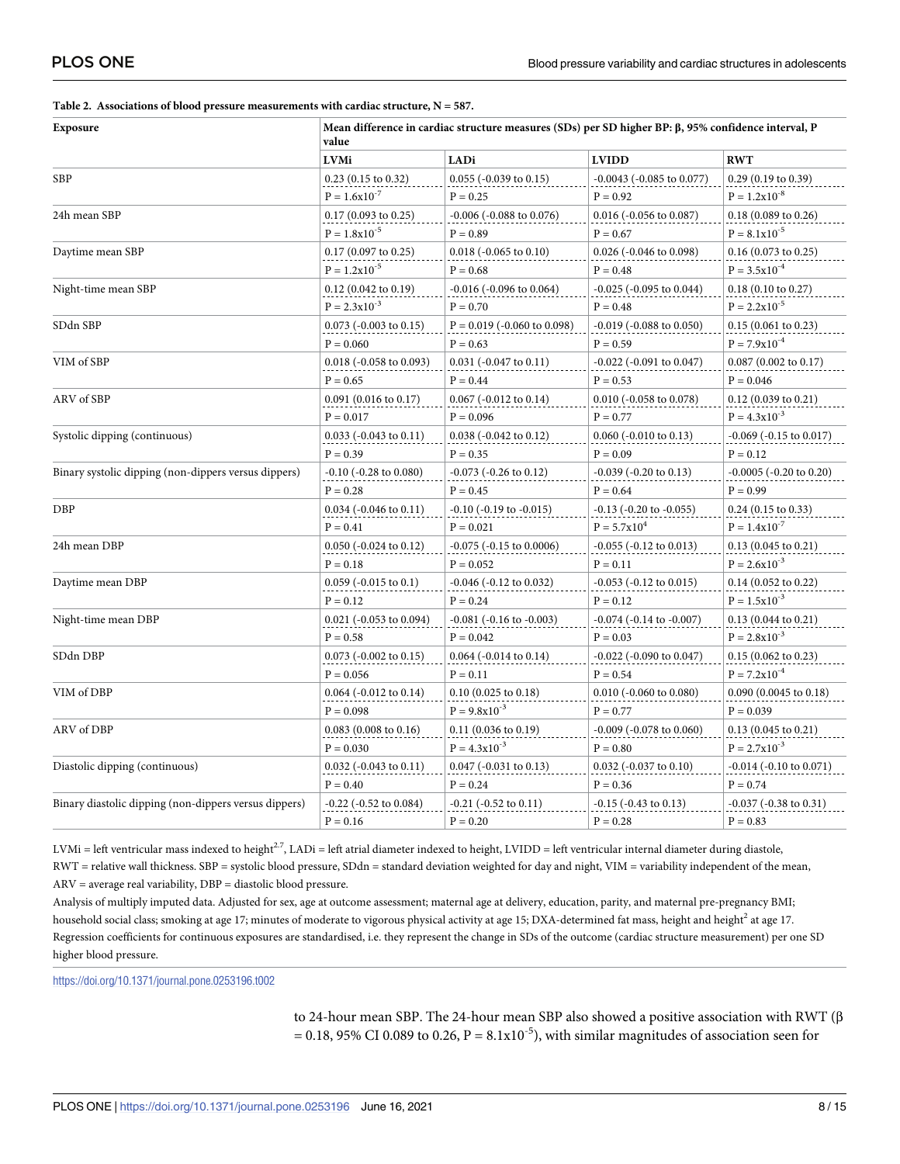<span id="page-7-0"></span>

|  |  | Table 2. Associations of blood pressure measurements with cardiac structure, $N = 587$ . |  |  |
|--|--|------------------------------------------------------------------------------------------|--|--|
|--|--|------------------------------------------------------------------------------------------|--|--|

| Exposure                                              | Mean difference in cardiac structure measures (SDs) per SD higher BP: $\beta$ , 95% confidence interval, P<br>value |                                  |                                   |                                            |
|-------------------------------------------------------|---------------------------------------------------------------------------------------------------------------------|----------------------------------|-----------------------------------|--------------------------------------------|
|                                                       | <b>LVMi</b>                                                                                                         | LADi                             | <b>LVIDD</b>                      | <b>RWT</b>                                 |
| <b>SBP</b>                                            | $0.23$ (0.15 to 0.32)                                                                                               | 0.055 (-0.039 to 0.15)           | $-0.0043$ ( $-0.085$ to $0.077$ ) | $0.29$ (0.19 to 0.39)                      |
|                                                       | $\mathrm{P}=1.6\mathrm{x}{10}^{\text{-7}}$                                                                          | $P = 0.25$                       | $P = 0.92$                        | $\mathrm{P}=1.2\mathrm{x}{10}^{\text{-}8}$ |
| 24h mean SBP                                          | $0.17(0.093 \text{ to } 0.25)$                                                                                      | $-0.006$ ( $-0.088$ to $0.076$ ) | $0.016$ (-0.056 to 0.087)         | $0.18$ (0.089 to 0.26)                     |
|                                                       | $P = 1.8x10^{-5}$                                                                                                   | $P = 0.89$                       | $P = 0.67$                        | $P = 8.1x10^{-5}$                          |
| Daytime mean SBP                                      | $0.17\ (0.097$ to $0.25)$                                                                                           | $0.018$ ( $-0.065$ to $0.10$ )   | $0.026$ (-0.046 to 0.098)         | $0.16$ (0.073 to 0.25)                     |
|                                                       | $P = 1.2x10^{-5}$                                                                                                   | $P = 0.68$                       | $P = 0.48$                        | $P = 3.5x10^{-4}$                          |
| Night-time mean SBP                                   | $0.12$ (0.042 to 0.19)                                                                                              | $-0.016$ ( $-0.096$ to $0.064$ ) | $-0.025$ ( $-0.095$ to $0.044$ )  | $0.18$ (0.10 to 0.27)                      |
|                                                       | $P = 2.3x10^{-3}$                                                                                                   | $P = 0.70$                       | $P = 0.48$                        | $P = 2.2 \times 10^{-5}$                   |
| SDdn SBP                                              | $0.073$ (-0.003 to 0.15)                                                                                            | $P = 0.019$ (-0.060 to 0.098)    | $-0.019$ ( $-0.088$ to $0.050$ )  | 0.15(0.061 to 0.23)                        |
|                                                       | $P = 0.060$                                                                                                         | $P = 0.63$                       | $P = 0.59$                        | $P = 7.9x10^{-4}$                          |
| VIM of SBP                                            | $0.018$ (-0.058 to 0.093)                                                                                           | $0.031$ (-0.047 to 0.11)         | $-0.022$ ( $-0.091$ to $0.047$ )  | $0.087$ (0.002 to 0.17)                    |
|                                                       | $P = 0.65$                                                                                                          | $P = 0.44$                       | $P = 0.53$                        | $P = 0.046$                                |
| ARV of SBP                                            | $0.091$ (0.016 to 0.17)                                                                                             | $0.067$ (-0.012 to 0.14)         | $0.010$ (-0.058 to 0.078)         | $0.12$ (0.039 to 0.21)                     |
|                                                       | $P = 0.017$                                                                                                         | $P = 0.096$                      | $P = 0.77$                        | $P = 4.3x10^{-3}$                          |
| Systolic dipping (continuous)                         | $0.033$ (-0.043 to 0.11)                                                                                            | $0.038$ (-0.042 to 0.12)         | $0.060$ (-0.010 to $0.13)$        | -0.069 (-0.15 to 0.017)                    |
|                                                       | $P = 0.39$                                                                                                          | $P = 0.35$                       | $P = 0.09$                        | $P = 0.12$                                 |
| Binary systolic dipping (non-dippers versus dippers)  | $-0.10$ ( $-0.28$ to $0.080$ )                                                                                      | $-0.073$ ( $-0.26$ to $0.12$ )   | $-0.039$ ( $-0.20$ to $0.13$ )    | $-0.0005$ ( $-0.20$ to $0.20$ )            |
|                                                       | $P = 0.28$                                                                                                          | $P = 0.45$                       | $P = 0.64$                        | $P = 0.99$                                 |
| DBP                                                   | $0.034$ (-0.046 to 0.11)                                                                                            | $-0.10$ ( $-0.19$ to $-0.015$ )  | $-0.13$ ( $-0.20$ to $-0.055$ )   | $0.24$ (0.15 to 0.33)                      |
|                                                       | $P = 0.41$                                                                                                          | $P = 0.021$                      | $P = 5.7x10^4$                    | $P = 1.4x10^{-7}$                          |
| 24h mean DBP                                          | $0.050$ (-0.024 to 0.12)                                                                                            | -0.075 (-0.15 to 0.0006)         | $-0.055$ ( $-0.12$ to $0.013$ )   | $0.13$ (0.045 to 0.21)                     |
|                                                       | $P = 0.18$                                                                                                          | $P = 0.052$                      | $P = 0.11$                        | $P = 2.6x10^{-3}$                          |
| Daytime mean DBP                                      | $0.059$ (-0.015 to 0.1)                                                                                             | $-0.046$ ( $-0.12$ to $0.032$ )  | $-0.053$ ( $-0.12$ to $0.015$ )   | $0.14\ (0.052\ {\rm to}\ 0.22)$            |
|                                                       | $P = 0.12$                                                                                                          | $P = 0.24$                       | $P = 0.12$                        | $P = 1.5x10^{-3}$                          |
| Night-time mean DBP                                   | $0.021$ (-0.053 to 0.094)                                                                                           | $-0.081$ ( $-0.16$ to $-0.003$ ) | $-0.074$ ( $-0.14$ to $-0.007$ )  | $0.13$ $(0.044$ to $0.21)$                 |
|                                                       | $P = 0.58$                                                                                                          | $P = 0.042$                      | $P = 0.03$                        | $P = 2.8x10^{-3}$                          |
| SDdn DBP                                              | $0.073$ (-0.002 to 0.15)                                                                                            | $0.064$ (-0.014 to 0.14)         | $-0.022$ ( $-0.090$ to $0.047$ )  | $0.15$ (0.062 to 0.23)                     |
|                                                       | $P = 0.056$                                                                                                         | $P = 0.11$                       | $P = 0.54$                        | $P = 7.2x10^{-4}$                          |
| VIM of DBP                                            | $0.064$ ( $-0.012$ to $0.14$ )                                                                                      | $0.10$ (0.025 to 0.18)           | $0.010$ (-0.060 to 0.080)         | $0.090$ (0.0045 to 0.18)                   |
|                                                       | $P = 0.098$                                                                                                         | $P = 9.8x10^{-3}$                | $P = 0.77$                        | $P = 0.039$                                |
| ARV of DBP                                            | $0.083(0.008 \text{ to } 0.16)$                                                                                     | $0.11(0.036 \text{ to } 0.19)$   | $-0.009$ ( $-0.078$ to $0.060$ )  | $0.13$ (0.045 to 0.21)                     |
|                                                       | $P = 0.030$                                                                                                         | $P = 4.3x10^{-3}$                | $P = 0.80$                        | $\mathrm{P}=2.7\mathrm{x}{10}^{\text{-}3}$ |
| Diastolic dipping (continuous)                        | $0.032$ (-0.043 to 0.11)                                                                                            | $0.047$ (-0.031 to 0.13)         | $0.032$ (-0.037 to 0.10)          | $-0.014$ ( $-0.10$ to $0.071$ )            |
|                                                       | $P = 0.40$                                                                                                          | $P = 0.24$                       | $P = 0.36$                        | $P = 0.74$                                 |
| Binary diastolic dipping (non-dippers versus dippers) | $-0.22$ ( $-0.52$ to $0.084$ )                                                                                      | $-0.21$ $(-0.52$ to $0.11)$      | $-0.15$ ( $-0.43$ to $0.13$ )     | $-0.037$ ( $-0.38$ to $0.31$ )             |
|                                                       | $P = 0.16$                                                                                                          | $P = 0.20$                       | $P = 0.28$                        | $P = 0.83$                                 |

LVMi = left ventricular mass indexed to height<sup>2.7</sup>, LADi = left atrial diameter indexed to height, LVIDD = left ventricular internal diameter during diastole, RWT = relative wall thickness. SBP = systolic blood pressure, SDdn = standard deviation weighted for day and night, VIM = variability independent of the mean, ARV = average real variability, DBP = diastolic blood pressure.

Analysis of multiply imputed data. Adjusted for sex, age at outcome assessment; maternal age at delivery, education, parity, and maternal pre-pregnancy BMI; household social class; smoking at age 17; minutes of moderate to vigorous physical activity at age 15; DXA-determined fat mass, height and height<sup>2</sup> at age 17. Regression coefficients for continuous exposures are standardised, i.e. they represent the change in SDs of the outcome (cardiac structure measurement) per one SD higher blood pressure.

<https://doi.org/10.1371/journal.pone.0253196.t002>

to 24-hour mean SBP. The 24-hour mean SBP also showed a positive association with RWT (β  $= 0.18$ , 95% CI 0.089 to 0.26, P = 8.1x10<sup>-5</sup>), with similar magnitudes of association seen for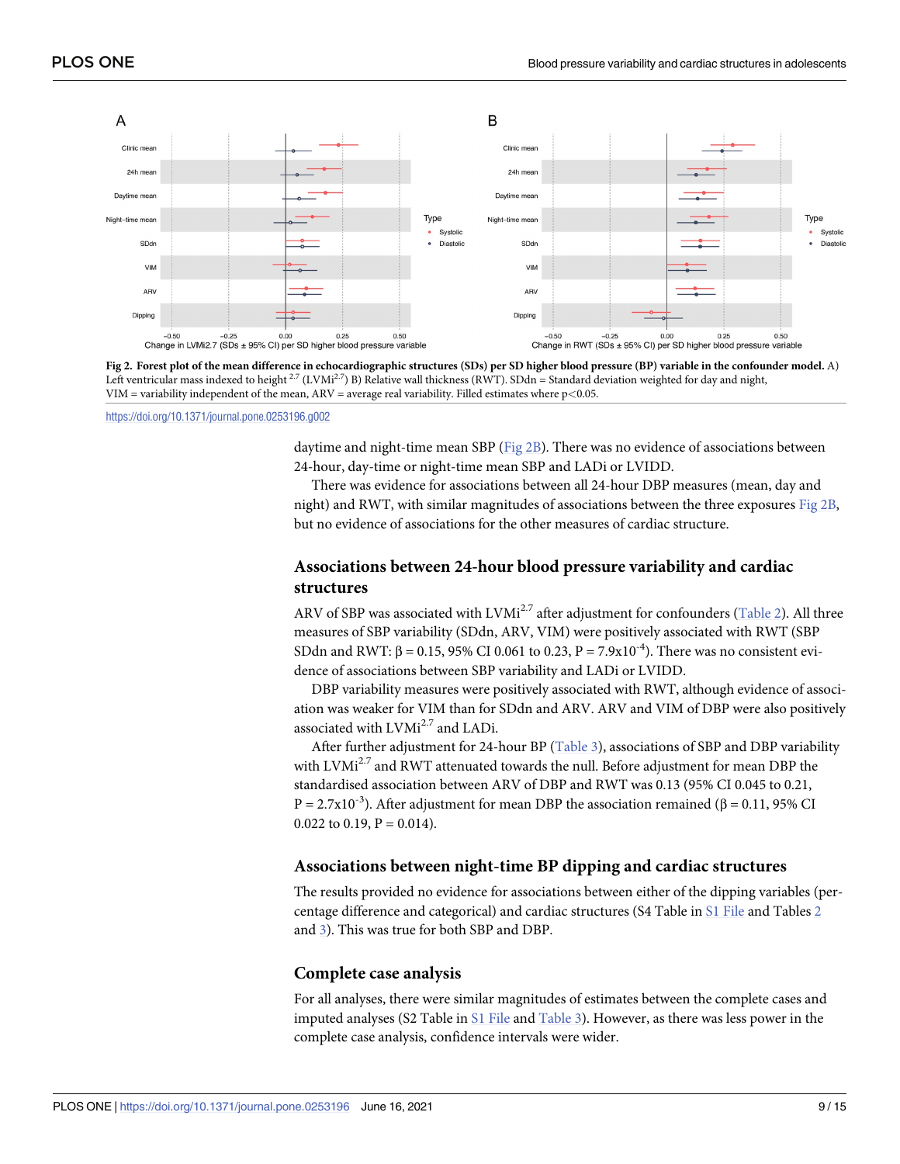<span id="page-8-0"></span>

[Fig](#page-5-0) 2. Forest plot of the mean difference in echocardiographic structures (SDs) per SD higher blood pressure (BP) variable in the confounder model. A) Left ventricular mass indexed to height  $^{2.7}$  (LVMi<sup>2.7</sup>) B) Relative wall thickness (RWT). SDdn = Standard deviation weighted for day and night, VIM = variability independent of the mean, ARV = average real variability. Filled estimates where p*<*0.05.

<https://doi.org/10.1371/journal.pone.0253196.g002>

daytime and night-time mean SBP (Fig  $2B$ ). There was no evidence of associations between 24-hour, day-time or night-time mean SBP and LADi or LVIDD.

There was evidence for associations between all 24-hour DBP measures (mean, day and night) and RWT, with similar magnitudes of associations between the three exposures Fig 2B, but no evidence of associations for the other measures of cardiac structure.

### **Associations between 24-hour blood pressure variability and cardiac structures**

ARV of SBP was associated with LVMi<sup>2.7</sup> after adjustment for confounders [\(Table](#page-7-0) 2). All three measures of SBP variability (SDdn, ARV, VIM) were positively associated with RWT (SBP SDdn and RWT: β = 0.15, 95% CI 0.061 to 0.23, P = 7.9x10<sup>-4</sup>). There was no consistent evidence of associations between SBP variability and LADi or LVIDD.

DBP variability measures were positively associated with RWT, although evidence of association was weaker for VIM than for SDdn and ARV. ARV and VIM of DBP were also positively associated with LVMi<sup>2.7</sup> and LADi.

After further adjustment for 24-hour BP ([Table](#page-9-0) 3), associations of SBP and DBP variability with  $LVMi^{2.7}$  and RWT attenuated towards the null. Before adjustment for mean DBP the standardised association between ARV of DBP and RWT was 0.13 (95% CI 0.045 to 0.21, P = 2.7x10<sup>-3</sup>). After adjustment for mean DBP the association remained (β = 0.11, 95% CI 0.022 to 0.19,  $P = 0.014$ ).

#### **Associations between night-time BP dipping and cardiac structures**

The results provided no evidence for associations between either of the dipping variables (percentage difference and categorical) and cardiac structures (S4 Table in S1 [File](#page-11-0) and Tables [2](#page-7-0) and [3](#page-9-0)). This was true for both SBP and DBP.

#### **Complete case analysis**

For all analyses, there were similar magnitudes of estimates between the complete cases and imputed analyses (S2 Table in S1 [File](#page-11-0) and [Table](#page-9-0) 3). However, as there was less power in the complete case analysis, confidence intervals were wider.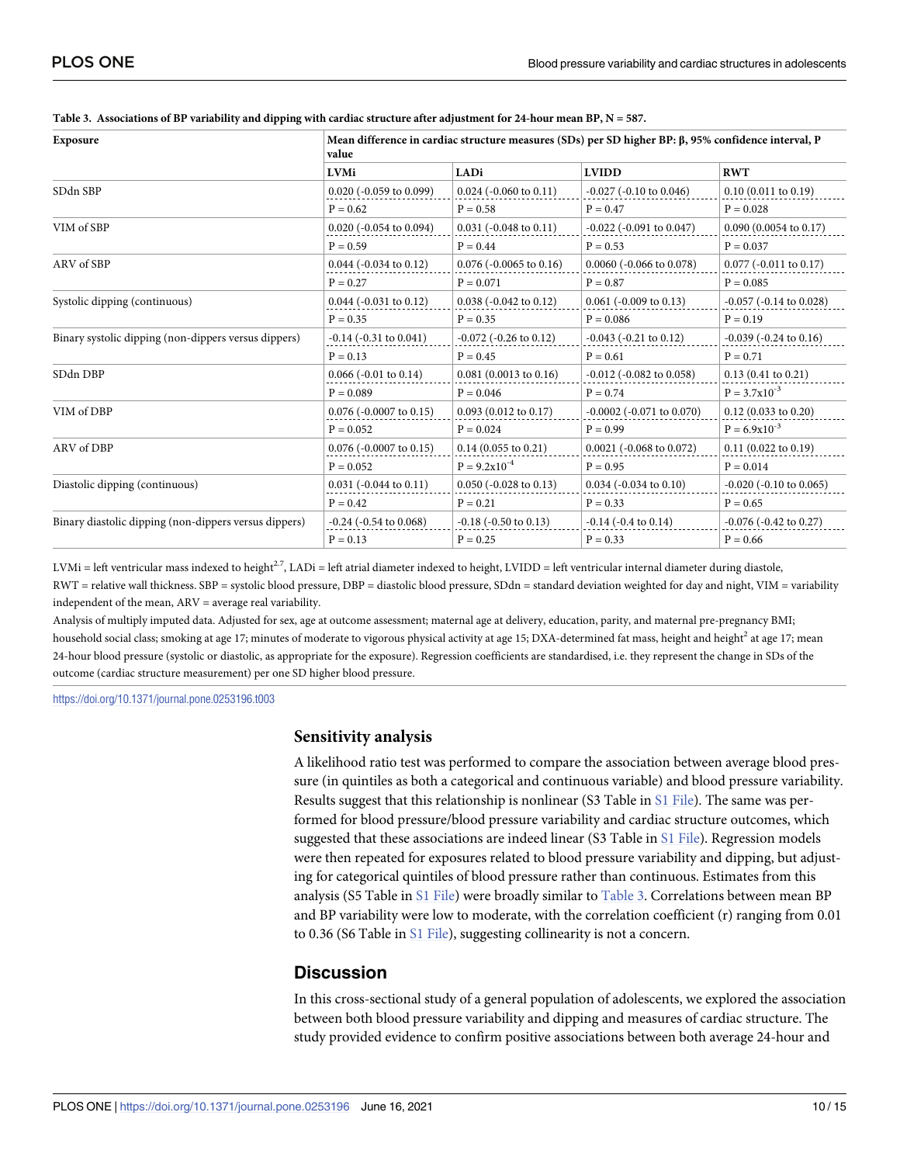| Exposure                                              | Mean difference in cardiac structure measures (SDs) per SD higher BP: $\beta$ , 95% confidence interval, P<br>value |                                   |                                   |                                  |  |
|-------------------------------------------------------|---------------------------------------------------------------------------------------------------------------------|-----------------------------------|-----------------------------------|----------------------------------|--|
|                                                       | <b>LVMi</b>                                                                                                         | LADi                              | <b>LVIDD</b>                      | <b>RWT</b>                       |  |
| SDdn SBP                                              | $0.020$ (-0.059 to 0.099)                                                                                           | $0.024$ (-0.060 to 0.11)          | $-0.027$ ( $-0.10$ to $0.046$ )   | 0.10(0.011 to 0.19)              |  |
|                                                       | $P = 0.62$                                                                                                          | $P = 0.58$                        | $P = 0.47$                        | $P = 0.028$                      |  |
| VIM of SBP                                            | $0.020$ (-0.054 to 0.094)                                                                                           | $0.031 (-0.048 \text{ to } 0.11)$ | $-0.022$ ( $-0.091$ to $0.047$ )  | $0.090(0.0054 \text{ to } 0.17)$ |  |
|                                                       | $P = 0.59$                                                                                                          | $P = 0.44$                        | $P = 0.53$                        | $P = 0.037$                      |  |
| ARV of SBP                                            | $0.044$ ( $-0.034$ to $0.12$ )                                                                                      | $0.076$ ( $-0.0065$ to $0.16$ )   | $0.0060$ (-0.066 to 0.078)        | $0.077$ (-0.011 to 0.17)         |  |
|                                                       | $P = 0.27$                                                                                                          | $P = 0.071$                       | $P = 0.87$                        | $P = 0.085$                      |  |
| Systolic dipping (continuous)                         | $0.044$ ( $-0.031$ to $0.12$ )                                                                                      | $0.038 (-0.042 \text{ to } 0.12)$ | $0.061$ ( $-0.009$ to $0.13$ )    | $-0.057$ ( $-0.14$ to $0.028$ )  |  |
|                                                       | $P = 0.35$                                                                                                          | $P = 0.35$                        | $P = 0.086$                       | $P = 0.19$                       |  |
| Binary systolic dipping (non-dippers versus dippers)  | $-0.14$ ( $-0.31$ to $0.041$ )                                                                                      | $-0.072$ ( $-0.26$ to $0.12$ )    | $-0.043$ ( $-0.21$ to $0.12$ )    | $-0.039$ ( $-0.24$ to $0.16$ )   |  |
|                                                       | $P = 0.13$                                                                                                          | $P = 0.45$                        | $P = 0.61$                        | $P = 0.71$                       |  |
| SDdn DBP                                              | $0.066$ (-0.01 to 0.14)                                                                                             | $0.081(0.0013 \text{ to } 0.16)$  | $-0.012$ ( $-0.082$ to 0.058)     | $0.13(0.41 \text{ to } 0.21)$    |  |
|                                                       | $P = 0.089$                                                                                                         | $P = 0.046$                       | $P = 0.74$                        | $P = 3.7x10^{-3}$                |  |
| VIM of DBP                                            | $0.076$ (-0.0007 to 0.15)                                                                                           | $0.093(0.012 \text{ to } 0.17)$   | $-0.0002$ ( $-0.071$ to $0.070$ ) | $0.12$ (0.033 to 0.20)           |  |
|                                                       | $P = 0.052$                                                                                                         | $P = 0.024$                       | $P = 0.99$                        | $P = 6.9x10^{-3}$                |  |
| ARV of DBP                                            | $0.076$ (-0.0007 to 0.15)                                                                                           | $0.14$ (0.055 to 0.21)            | $0.0021$ (-0.068 to 0.072)        | $0.11(0.022 \text{ to } 0.19)$   |  |
|                                                       | $P = 0.052$                                                                                                         | $P = 9.2x10^{-4}$                 | $P = 0.95$                        | $P = 0.014$                      |  |
| Diastolic dipping (continuous)                        | $0.031$ (-0.044 to 0.11)                                                                                            | $0.050$ (-0.028 to 0.13)          | $0.034$ (-0.034 to 0.10)          | $-0.020$ ( $-0.10$ to $0.065$ )  |  |
|                                                       | $P = 0.42$                                                                                                          | $P = 0.21$                        | $P = 0.33$                        | $P = 0.65$                       |  |
| Binary diastolic dipping (non-dippers versus dippers) | $-0.24$ ( $-0.54$ to $0.068$ )                                                                                      | $-0.18$ ( $-0.50$ to $0.13$ )     | $-0.14$ ( $-0.4$ to $0.14$ )      | $-0.076$ ( $-0.42$ to 0.27)      |  |
|                                                       | $P = 0.13$                                                                                                          | $P = 0.25$                        | $P = 0.33$                        | $P = 0.66$                       |  |

<span id="page-9-0"></span>

| Table 3. Associations of BP variability and dipping with cardiac structure after adjustment for 24-hour mean BP, $N = 587$ . |  |
|------------------------------------------------------------------------------------------------------------------------------|--|
|------------------------------------------------------------------------------------------------------------------------------|--|

LVMi = left ventricular mass indexed to height<sup>2.7</sup>, LADi = left atrial diameter indexed to height, LVIDD = left ventricular internal diameter during diastole, RWT = relative wall thickness. SBP = systolic blood pressure, DBP = diastolic blood pressure, SDdn = standard deviation weighted for day and night, VIM = variability independent of the mean, ARV = average real variability.

Analysis of multiply imputed data. Adjusted for sex, age at outcome assessment; maternal age at delivery, education, parity, and maternal pre-pregnancy BMI; household social class; smoking at age 17; minutes of moderate to vigorous physical activity at age 15; DXA-determined fat mass, height and height<sup>2</sup> at age 17; mean 24-hour blood pressure (systolic or diastolic, as appropriate for the exposure). Regression coefficients are standardised, i.e. they represent the change in SDs of the outcome (cardiac structure measurement) per one SD higher blood pressure.

<https://doi.org/10.1371/journal.pone.0253196.t003>

#### **Sensitivity analysis**

A likelihood ratio test was performed to compare the association between average blood pressure (in quintiles as both a categorical and continuous variable) and blood pressure variability. Results suggest that this relationship is nonlinear (S3 Table in S1 [File](#page-11-0)). The same was performed for blood pressure/blood pressure variability and cardiac structure outcomes, which suggested that these associations are indeed linear (S3 Table in S1 [File](#page-11-0)). Regression models were then repeated for exposures related to blood pressure variability and dipping, but adjusting for categorical quintiles of blood pressure rather than continuous. Estimates from this analysis (S5 Table in S1 [File](#page-11-0)) were broadly similar to Table 3. Correlations between mean BP and BP variability were low to moderate, with the correlation coefficient (r) ranging from 0.01 to 0.36 (S6 Table in S1 [File](#page-11-0)), suggesting collinearity is not a concern.

# **Discussion**

In this cross-sectional study of a general population of adolescents, we explored the association between both blood pressure variability and dipping and measures of cardiac structure. The study provided evidence to confirm positive associations between both average 24-hour and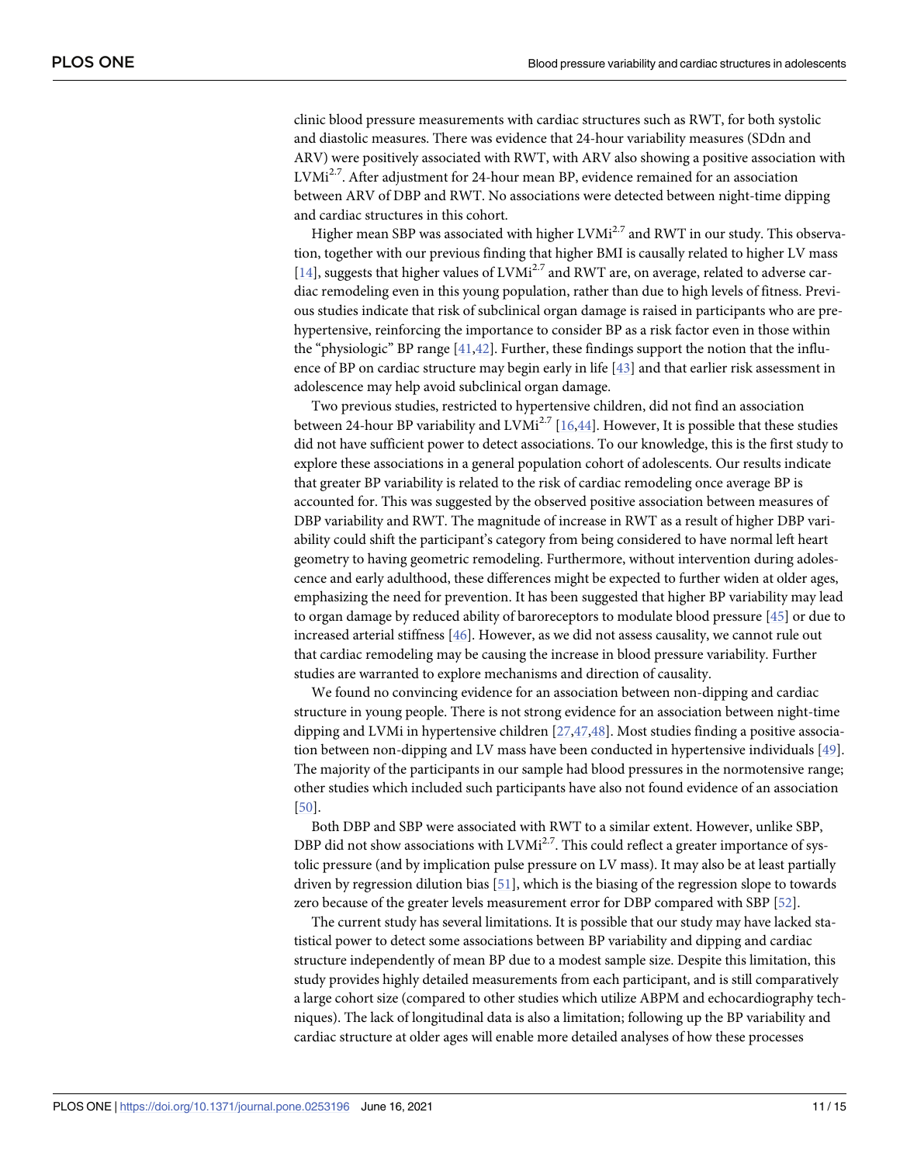<span id="page-10-0"></span>clinic blood pressure measurements with cardiac structures such as RWT, for both systolic and diastolic measures. There was evidence that 24-hour variability measures (SDdn and ARV) were positively associated with RWT, with ARV also showing a positive association with LVMi<sup>2.7</sup>. After adjustment for 24-hour mean BP, evidence remained for an association between ARV of DBP and RWT. No associations were detected between night-time dipping and cardiac structures in this cohort.

Higher mean SBP was associated with higher LVMi<sup>2.7</sup> and RWT in our study. This observation, together with our previous finding that higher BMI is causally related to higher LV mass [\[14\]](#page-12-0), suggests that higher values of LVMi<sup>2.7</sup> and RWT are, on average, related to adverse cardiac remodeling even in this young population, rather than due to high levels of fitness. Previous studies indicate that risk of subclinical organ damage is raised in participants who are prehypertensive, reinforcing the importance to consider BP as a risk factor even in those within the "physiologic" BP range  $[41,42]$  $[41,42]$  $[41,42]$  $[41,42]$  $[41,42]$ . Further, these findings support the notion that the influence of BP on cardiac structure may begin early in life [\[43\]](#page-14-0) and that earlier risk assessment in adolescence may help avoid subclinical organ damage.

Two previous studies, restricted to hypertensive children, did not find an association between 24-hour BP variability and  $LVMi^{2.7}$  [\[16,](#page-12-0)[44\]](#page-14-0). However, It is possible that these studies did not have sufficient power to detect associations. To our knowledge, this is the first study to explore these associations in a general population cohort of adolescents. Our results indicate that greater BP variability is related to the risk of cardiac remodeling once average BP is accounted for. This was suggested by the observed positive association between measures of DBP variability and RWT. The magnitude of increase in RWT as a result of higher DBP variability could shift the participant's category from being considered to have normal left heart geometry to having geometric remodeling. Furthermore, without intervention during adolescence and early adulthood, these differences might be expected to further widen at older ages, emphasizing the need for prevention. It has been suggested that higher BP variability may lead to organ damage by reduced ability of baroreceptors to modulate blood pressure [\[45\]](#page-14-0) or due to increased arterial stiffness [\[46\]](#page-14-0). However, as we did not assess causality, we cannot rule out that cardiac remodeling may be causing the increase in blood pressure variability. Further studies are warranted to explore mechanisms and direction of causality.

We found no convincing evidence for an association between non-dipping and cardiac structure in young people. There is not strong evidence for an association between night-time dipping and LVMi in hypertensive children [[27](#page-13-0),[47](#page-14-0),[48\]](#page-14-0). Most studies finding a positive association between non-dipping and LV mass have been conducted in hypertensive individuals [[49](#page-14-0)]. The majority of the participants in our sample had blood pressures in the normotensive range; other studies which included such participants have also not found evidence of an association [\[50\]](#page-14-0).

Both DBP and SBP were associated with RWT to a similar extent. However, unlike SBP, DBP did not show associations with  $LVMi^{2.7}$ . This could reflect a greater importance of systolic pressure (and by implication pulse pressure on LV mass). It may also be at least partially driven by regression dilution bias [[51](#page-14-0)], which is the biasing of the regression slope to towards zero because of the greater levels measurement error for DBP compared with SBP [[52](#page-14-0)].

The current study has several limitations. It is possible that our study may have lacked statistical power to detect some associations between BP variability and dipping and cardiac structure independently of mean BP due to a modest sample size. Despite this limitation, this study provides highly detailed measurements from each participant, and is still comparatively a large cohort size (compared to other studies which utilize ABPM and echocardiography techniques). The lack of longitudinal data is also a limitation; following up the BP variability and cardiac structure at older ages will enable more detailed analyses of how these processes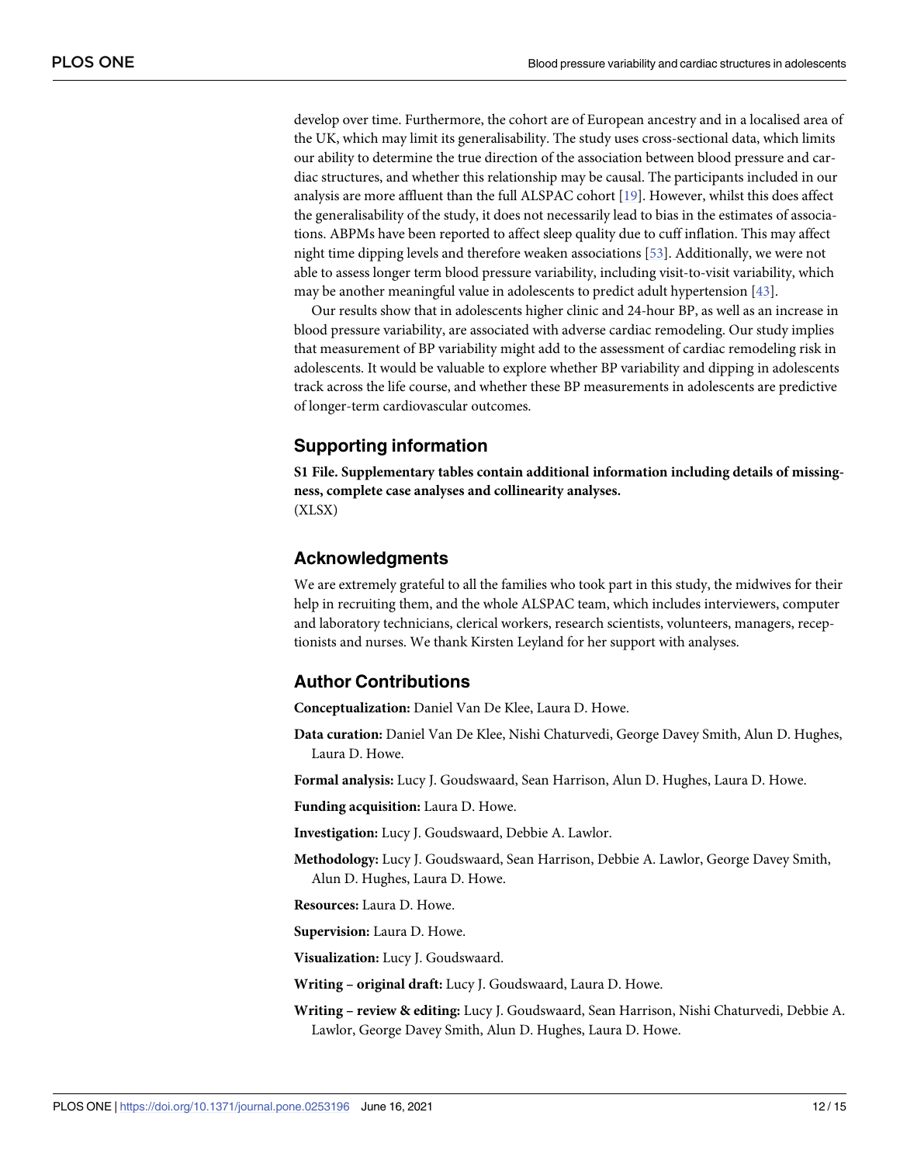<span id="page-11-0"></span>develop over time. Furthermore, the cohort are of European ancestry and in a localised area of the UK, which may limit its generalisability. The study uses cross-sectional data, which limits our ability to determine the true direction of the association between blood pressure and cardiac structures, and whether this relationship may be causal. The participants included in our analysis are more affluent than the full ALSPAC cohort [\[19\]](#page-13-0). However, whilst this does affect the generalisability of the study, it does not necessarily lead to bias in the estimates of associations. ABPMs have been reported to affect sleep quality due to cuff inflation. This may affect night time dipping levels and therefore weaken associations [\[53\]](#page-14-0). Additionally, we were not able to assess longer term blood pressure variability, including visit-to-visit variability, which may be another meaningful value in adolescents to predict adult hypertension [\[43\]](#page-14-0).

Our results show that in adolescents higher clinic and 24-hour BP, as well as an increase in blood pressure variability, are associated with adverse cardiac remodeling. Our study implies that measurement of BP variability might add to the assessment of cardiac remodeling risk in adolescents. It would be valuable to explore whether BP variability and dipping in adolescents track across the life course, and whether these BP measurements in adolescents are predictive of longer-term cardiovascular outcomes.

## **Supporting information**

**S1 [File.](http://www.plosone.org/article/fetchSingleRepresentation.action?uri=info:doi/10.1371/journal.pone.0253196.s001) Supplementary tables contain additional information including details of missingness, complete case analyses and collinearity analyses.** (XLSX)

#### **Acknowledgments**

We are extremely grateful to all the families who took part in this study, the midwives for their help in recruiting them, and the whole ALSPAC team, which includes interviewers, computer and laboratory technicians, clerical workers, research scientists, volunteers, managers, receptionists and nurses. We thank Kirsten Leyland for her support with analyses.

#### **Author Contributions**

**Conceptualization:** Daniel Van De Klee, Laura D. Howe.

**Data curation:** Daniel Van De Klee, Nishi Chaturvedi, George Davey Smith, Alun D. Hughes, Laura D. Howe.

**Formal analysis:** Lucy J. Goudswaard, Sean Harrison, Alun D. Hughes, Laura D. Howe.

**Funding acquisition:** Laura D. Howe.

**Investigation:** Lucy J. Goudswaard, Debbie A. Lawlor.

**Methodology:** Lucy J. Goudswaard, Sean Harrison, Debbie A. Lawlor, George Davey Smith, Alun D. Hughes, Laura D. Howe.

**Resources:** Laura D. Howe.

**Supervision:** Laura D. Howe.

**Visualization:** Lucy J. Goudswaard.

**Writing – original draft:** Lucy J. Goudswaard, Laura D. Howe.

**Writing – review & editing:** Lucy J. Goudswaard, Sean Harrison, Nishi Chaturvedi, Debbie A. Lawlor, George Davey Smith, Alun D. Hughes, Laura D. Howe.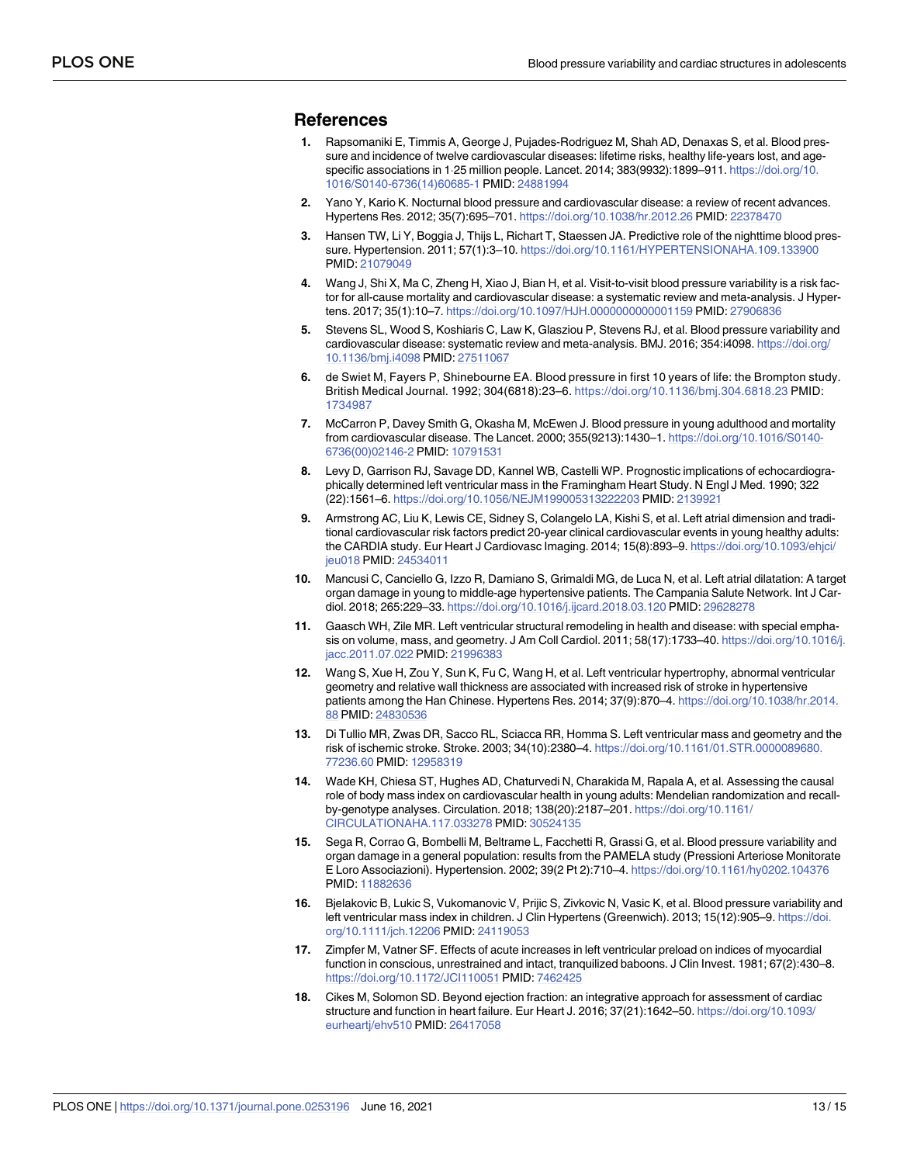#### <span id="page-12-0"></span>**References**

- **[1](#page-1-0).** Rapsomaniki E, Timmis A, George J, Pujades-Rodriguez M, Shah AD, Denaxas S, et al. Blood pressure and incidence of twelve cardiovascular diseases: lifetime risks, healthy life-years lost, and agespecific associations in 1.25 million people. Lancet. 2014; 383(9932):1899–911. [https://doi.org/10.](https://doi.org/10.1016/S0140-6736(14)60685-1) [1016/S0140-6736\(14\)60685-1](https://doi.org/10.1016/S0140-6736(14)60685-1) PMID: [24881994](http://www.ncbi.nlm.nih.gov/pubmed/24881994)
- **[2](#page-1-0).** Yano Y, Kario K. Nocturnal blood pressure and cardiovascular disease: a review of recent advances. Hypertens Res. 2012; 35(7):695–701. <https://doi.org/10.1038/hr.2012.26> PMID: [22378470](http://www.ncbi.nlm.nih.gov/pubmed/22378470)
- **[3](#page-1-0).** Hansen TW, Li Y, Boggia J, Thijs L, Richart T, Staessen JA. Predictive role of the nighttime blood pressure. Hypertension. 2011; 57(1):3–10. <https://doi.org/10.1161/HYPERTENSIONAHA.109.133900> PMID: [21079049](http://www.ncbi.nlm.nih.gov/pubmed/21079049)
- **[4](#page-1-0).** Wang J, Shi X, Ma C, Zheng H, Xiao J, Bian H, et al. Visit-to-visit blood pressure variability is a risk factor for all-cause mortality and cardiovascular disease: a systematic review and meta-analysis. J Hypertens. 2017; 35(1):10–7. <https://doi.org/10.1097/HJH.0000000000001159> PMID: [27906836](http://www.ncbi.nlm.nih.gov/pubmed/27906836)
- **[5](#page-1-0).** Stevens SL, Wood S, Koshiaris C, Law K, Glasziou P, Stevens RJ, et al. Blood pressure variability and cardiovascular disease: systematic review and meta-analysis. BMJ. 2016; 354:i4098. [https://doi.org/](https://doi.org/10.1136/bmj.i4098) [10.1136/bmj.i4098](https://doi.org/10.1136/bmj.i4098) PMID: [27511067](http://www.ncbi.nlm.nih.gov/pubmed/27511067)
- **[6](#page-1-0).** de Swiet M, Fayers P, Shinebourne EA. Blood pressure in first 10 years of life: the Brompton study. British Medical Journal. 1992; 304(6818):23–6. <https://doi.org/10.1136/bmj.304.6818.23> PMID: [1734987](http://www.ncbi.nlm.nih.gov/pubmed/1734987)
- **[7](#page-1-0).** McCarron P, Davey Smith G, Okasha M, McEwen J. Blood pressure in young adulthood and mortality from cardiovascular disease. The Lancet. 2000; 355(9213):1430–1. [https://doi.org/10.1016/S0140-](https://doi.org/10.1016/S0140-6736(00)02146-2) [6736\(00\)02146-2](https://doi.org/10.1016/S0140-6736(00)02146-2) PMID: [10791531](http://www.ncbi.nlm.nih.gov/pubmed/10791531)
- **[8](#page-1-0).** Levy D, Garrison RJ, Savage DD, Kannel WB, Castelli WP. Prognostic implications of echocardiographically determined left ventricular mass in the Framingham Heart Study. N Engl J Med. 1990; 322 (22):1561–6. <https://doi.org/10.1056/NEJM199005313222203> PMID: [2139921](http://www.ncbi.nlm.nih.gov/pubmed/2139921)
- **[9](#page-1-0).** Armstrong AC, Liu K, Lewis CE, Sidney S, Colangelo LA, Kishi S, et al. Left atrial dimension and traditional cardiovascular risk factors predict 20-year clinical cardiovascular events in young healthy adults: the CARDIA study. Eur Heart J Cardiovasc Imaging. 2014; 15(8):893–9. [https://doi.org/10.1093/ehjci/](https://doi.org/10.1093/ehjci/jeu018) [jeu018](https://doi.org/10.1093/ehjci/jeu018) PMID: [24534011](http://www.ncbi.nlm.nih.gov/pubmed/24534011)
- **[10](#page-1-0).** Mancusi C, Canciello G, Izzo R, Damiano S, Grimaldi MG, de Luca N, et al. Left atrial dilatation: A target organ damage in young to middle-age hypertensive patients. The Campania Salute Network. Int J Cardiol. 2018; 265:229–33. <https://doi.org/10.1016/j.ijcard.2018.03.120> PMID: [29628278](http://www.ncbi.nlm.nih.gov/pubmed/29628278)
- **[11](#page-1-0).** Gaasch WH, Zile MR. Left ventricular structural remodeling in health and disease: with special emphasis on volume, mass, and geometry. J Am Coll Cardiol. 2011; 58(17):1733–40. [https://doi.org/10.1016/j.](https://doi.org/10.1016/j.jacc.2011.07.022) [jacc.2011.07.022](https://doi.org/10.1016/j.jacc.2011.07.022) PMID: [21996383](http://www.ncbi.nlm.nih.gov/pubmed/21996383)
- **[12](#page-1-0).** Wang S, Xue H, Zou Y, Sun K, Fu C, Wang H, et al. Left ventricular hypertrophy, abnormal ventricular geometry and relative wall thickness are associated with increased risk of stroke in hypertensive patients among the Han Chinese. Hypertens Res. 2014; 37(9):870–4. [https://doi.org/10.1038/hr.2014.](https://doi.org/10.1038/hr.2014.88) [88](https://doi.org/10.1038/hr.2014.88) PMID: [24830536](http://www.ncbi.nlm.nih.gov/pubmed/24830536)
- **[13](#page-1-0).** Di Tullio MR, Zwas DR, Sacco RL, Sciacca RR, Homma S. Left ventricular mass and geometry and the risk of ischemic stroke. Stroke. 2003; 34(10):2380–4. [https://doi.org/10.1161/01.STR.0000089680.](https://doi.org/10.1161/01.STR.0000089680.77236.60) [77236.60](https://doi.org/10.1161/01.STR.0000089680.77236.60) PMID: [12958319](http://www.ncbi.nlm.nih.gov/pubmed/12958319)
- **[14](#page-1-0).** Wade KH, Chiesa ST, Hughes AD, Chaturvedi N, Charakida M, Rapala A, et al. Assessing the causal role of body mass index on cardiovascular health in young adults: Mendelian randomization and recallby-genotype analyses. Circulation. 2018; 138(20):2187–201. [https://doi.org/10.1161/](https://doi.org/10.1161/CIRCULATIONAHA.117.033278) [CIRCULATIONAHA.117.033278](https://doi.org/10.1161/CIRCULATIONAHA.117.033278) PMID: [30524135](http://www.ncbi.nlm.nih.gov/pubmed/30524135)
- **[15](#page-1-0).** Sega R, Corrao G, Bombelli M, Beltrame L, Facchetti R, Grassi G, et al. Blood pressure variability and organ damage in a general population: results from the PAMELA study (Pressioni Arteriose Monitorate E Loro Associazioni). Hypertension. 2002; 39(2 Pt 2):710–4. <https://doi.org/10.1161/hy0202.104376> PMID: [11882636](http://www.ncbi.nlm.nih.gov/pubmed/11882636)
- **[16](#page-1-0).** Bjelakovic B, Lukic S, Vukomanovic V, Prijic S, Zivkovic N, Vasic K, et al. Blood pressure variability and left ventricular mass index in children. J Clin Hypertens (Greenwich). 2013; 15(12):905-9. [https://doi.](https://doi.org/10.1111/jch.12206) [org/10.1111/jch.12206](https://doi.org/10.1111/jch.12206) PMID: [24119053](http://www.ncbi.nlm.nih.gov/pubmed/24119053)
- **[17](#page-1-0).** Zimpfer M, Vatner SF. Effects of acute increases in left ventricular preload on indices of myocardial function in conscious, unrestrained and intact, tranquilized baboons. J Clin Invest. 1981; 67(2):430–8. <https://doi.org/10.1172/JCI110051> PMID: [7462425](http://www.ncbi.nlm.nih.gov/pubmed/7462425)
- **[18](#page-1-0).** Cikes M, Solomon SD. Beyond ejection fraction: an integrative approach for assessment of cardiac structure and function in heart failure. Eur Heart J. 2016; 37(21):1642–50. [https://doi.org/10.1093/](https://doi.org/10.1093/eurheartj/ehv510) [eurheartj/ehv510](https://doi.org/10.1093/eurheartj/ehv510) PMID: [26417058](http://www.ncbi.nlm.nih.gov/pubmed/26417058)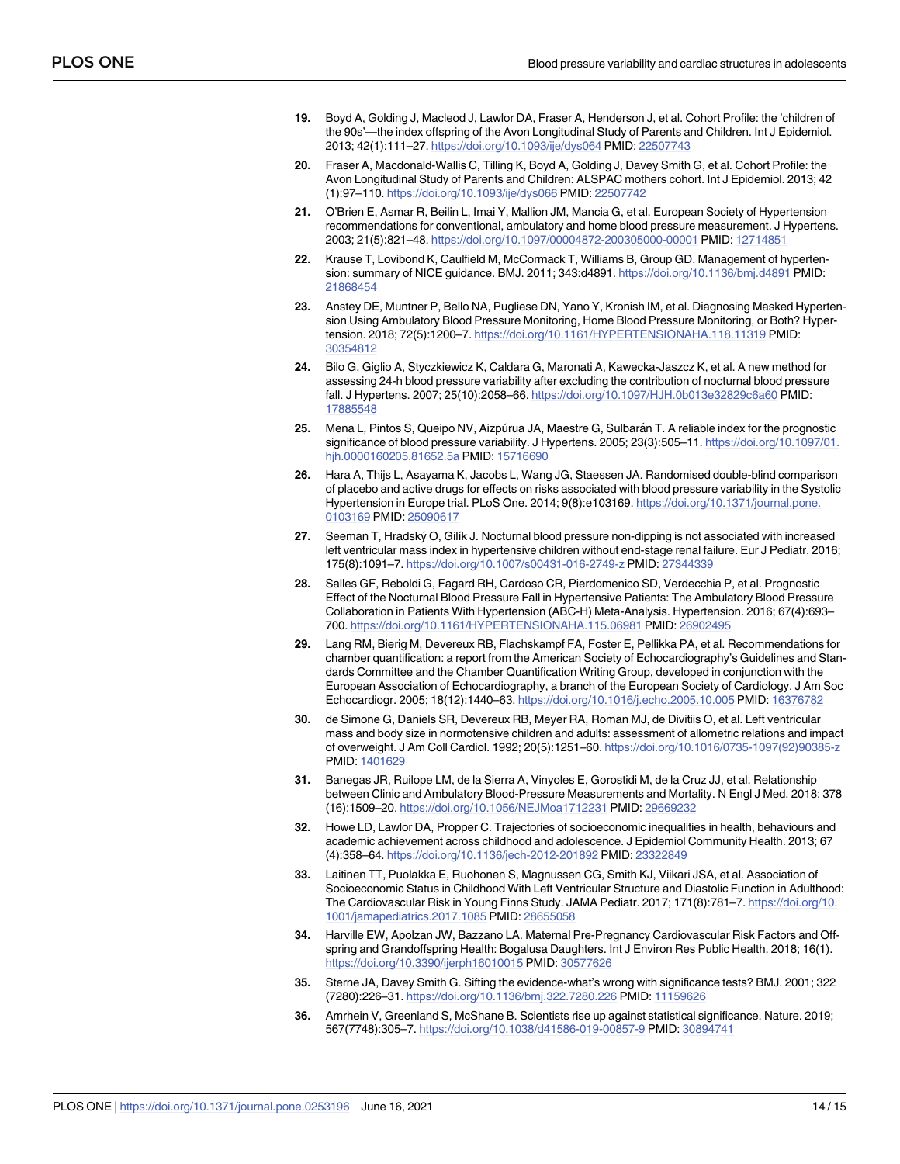- <span id="page-13-0"></span>**[19](#page-1-0).** Boyd A, Golding J, Macleod J, Lawlor DA, Fraser A, Henderson J, et al. Cohort Profile: the 'children of the 90s'—the index offspring of the Avon Longitudinal Study of Parents and Children. Int J Epidemiol. 2013; 42(1):111–27. <https://doi.org/10.1093/ije/dys064> PMID: [22507743](http://www.ncbi.nlm.nih.gov/pubmed/22507743)
- **[20](#page-1-0).** Fraser A, Macdonald-Wallis C, Tilling K, Boyd A, Golding J, Davey Smith G, et al. Cohort Profile: the Avon Longitudinal Study of Parents and Children: ALSPAC mothers cohort. Int J Epidemiol. 2013; 42 (1):97–110. <https://doi.org/10.1093/ije/dys066> PMID: [22507742](http://www.ncbi.nlm.nih.gov/pubmed/22507742)
- **[21](#page-2-0).** O'Brien E, Asmar R, Beilin L, Imai Y, Mallion JM, Mancia G, et al. European Society of Hypertension recommendations for conventional, ambulatory and home blood pressure measurement. J Hypertens. 2003; 21(5):821–48. <https://doi.org/10.1097/00004872-200305000-00001> PMID: [12714851](http://www.ncbi.nlm.nih.gov/pubmed/12714851)
- **[22](#page-2-0).** Krause T, Lovibond K, Caulfield M, McCormack T, Williams B, Group GD. Management of hypertension: summary of NICE guidance. BMJ. 2011; 343:d4891. <https://doi.org/10.1136/bmj.d4891> PMID: [21868454](http://www.ncbi.nlm.nih.gov/pubmed/21868454)
- **[23](#page-2-0).** Anstey DE, Muntner P, Bello NA, Pugliese DN, Yano Y, Kronish IM, et al. Diagnosing Masked Hypertension Using Ambulatory Blood Pressure Monitoring, Home Blood Pressure Monitoring, or Both? Hypertension. 2018; 72(5):1200–7. <https://doi.org/10.1161/HYPERTENSIONAHA.118.11319> PMID: [30354812](http://www.ncbi.nlm.nih.gov/pubmed/30354812)
- **[24](#page-2-0).** Bilo G, Giglio A, Styczkiewicz K, Caldara G, Maronati A, Kawecka-Jaszcz K, et al. A new method for assessing 24-h blood pressure variability after excluding the contribution of nocturnal blood pressure fall. J Hypertens. 2007; 25(10):2058–66. <https://doi.org/10.1097/HJH.0b013e32829c6a60> PMID: [17885548](http://www.ncbi.nlm.nih.gov/pubmed/17885548)
- [25](#page-2-0). Mena L, Pintos S, Queipo NV, Aizpúrua JA, Maestre G, Sulbarán T. A reliable index for the prognostic significance of blood pressure variability. J Hypertens. 2005; 23(3):505–11. [https://doi.org/10.1097/01.](https://doi.org/10.1097/01.hjh.0000160205.81652.5a) [hjh.0000160205.81652.5a](https://doi.org/10.1097/01.hjh.0000160205.81652.5a) PMID: [15716690](http://www.ncbi.nlm.nih.gov/pubmed/15716690)
- **[26](#page-3-0).** Hara A, Thijs L, Asayama K, Jacobs L, Wang JG, Staessen JA. Randomised double-blind comparison of placebo and active drugs for effects on risks associated with blood pressure variability in the Systolic Hypertension in Europe trial. PLoS One. 2014; 9(8):e103169. [https://doi.org/10.1371/journal.pone.](https://doi.org/10.1371/journal.pone.0103169) [0103169](https://doi.org/10.1371/journal.pone.0103169) PMID: [25090617](http://www.ncbi.nlm.nih.gov/pubmed/25090617)
- **[27](#page-3-0).** Seeman T, Hradsky´ O, Gilı´k J. Nocturnal blood pressure non-dipping is not associated with increased left ventricular mass index in hypertensive children without end-stage renal failure. Eur J Pediatr. 2016; 175(8):1091–7. <https://doi.org/10.1007/s00431-016-2749-z> PMID: [27344339](http://www.ncbi.nlm.nih.gov/pubmed/27344339)
- **[28](#page-3-0).** Salles GF, Reboldi G, Fagard RH, Cardoso CR, Pierdomenico SD, Verdecchia P, et al. Prognostic Effect of the Nocturnal Blood Pressure Fall in Hypertensive Patients: The Ambulatory Blood Pressure Collaboration in Patients With Hypertension (ABC-H) Meta-Analysis. Hypertension. 2016; 67(4):693– 700. <https://doi.org/10.1161/HYPERTENSIONAHA.115.06981> PMID: [26902495](http://www.ncbi.nlm.nih.gov/pubmed/26902495)
- **[29](#page-3-0).** Lang RM, Bierig M, Devereux RB, Flachskampf FA, Foster E, Pellikka PA, et al. Recommendations for chamber quantification: a report from the American Society of Echocardiography's Guidelines and Standards Committee and the Chamber Quantification Writing Group, developed in conjunction with the European Association of Echocardiography, a branch of the European Society of Cardiology. J Am Soc Echocardiogr. 2005; 18(12):1440–63. <https://doi.org/10.1016/j.echo.2005.10.005> PMID: [16376782](http://www.ncbi.nlm.nih.gov/pubmed/16376782)
- **[30](#page-3-0).** de Simone G, Daniels SR, Devereux RB, Meyer RA, Roman MJ, de Divitiis O, et al. Left ventricular mass and body size in normotensive children and adults: assessment of allometric relations and impact of overweight. J Am Coll Cardiol. 1992; 20(5):1251–60. [https://doi.org/10.1016/0735-1097\(92\)90385-z](https://doi.org/10.1016/0735-1097(92)90385-z) PMID: [1401629](http://www.ncbi.nlm.nih.gov/pubmed/1401629)
- **[31](#page-3-0).** Banegas JR, Ruilope LM, de la Sierra A, Vinyoles E, Gorostidi M, de la Cruz JJ, et al. Relationship between Clinic and Ambulatory Blood-Pressure Measurements and Mortality. N Engl J Med. 2018; 378 (16):1509–20. <https://doi.org/10.1056/NEJMoa1712231> PMID: [29669232](http://www.ncbi.nlm.nih.gov/pubmed/29669232)
- **[32](#page-3-0).** Howe LD, Lawlor DA, Propper C. Trajectories of socioeconomic inequalities in health, behaviours and academic achievement across childhood and adolescence. J Epidemiol Community Health. 2013; 67 (4):358–64. <https://doi.org/10.1136/jech-2012-201892> PMID: [23322849](http://www.ncbi.nlm.nih.gov/pubmed/23322849)
- **[33](#page-3-0).** Laitinen TT, Puolakka E, Ruohonen S, Magnussen CG, Smith KJ, Viikari JSA, et al. Association of Socioeconomic Status in Childhood With Left Ventricular Structure and Diastolic Function in Adulthood: The Cardiovascular Risk in Young Finns Study. JAMA Pediatr. 2017; 171(8):781–7. [https://doi.org/10.](https://doi.org/10.1001/jamapediatrics.2017.1085) [1001/jamapediatrics.2017.1085](https://doi.org/10.1001/jamapediatrics.2017.1085) PMID: [28655058](http://www.ncbi.nlm.nih.gov/pubmed/28655058)
- **[34](#page-3-0).** Harville EW, Apolzan JW, Bazzano LA. Maternal Pre-Pregnancy Cardiovascular Risk Factors and Offspring and Grandoffspring Health: Bogalusa Daughters. Int J Environ Res Public Health. 2018; 16(1). <https://doi.org/10.3390/ijerph16010015> PMID: [30577626](http://www.ncbi.nlm.nih.gov/pubmed/30577626)
- **[35](#page-4-0).** Sterne JA, Davey Smith G. Sifting the evidence-what's wrong with significance tests? BMJ. 2001; 322 (7280):226–31. <https://doi.org/10.1136/bmj.322.7280.226> PMID: [11159626](http://www.ncbi.nlm.nih.gov/pubmed/11159626)
- **36.** Amrhein V, Greenland S, McShane B. Scientists rise up against statistical significance. Nature. 2019; 567(7748):305–7. <https://doi.org/10.1038/d41586-019-00857-9> PMID: [30894741](http://www.ncbi.nlm.nih.gov/pubmed/30894741)